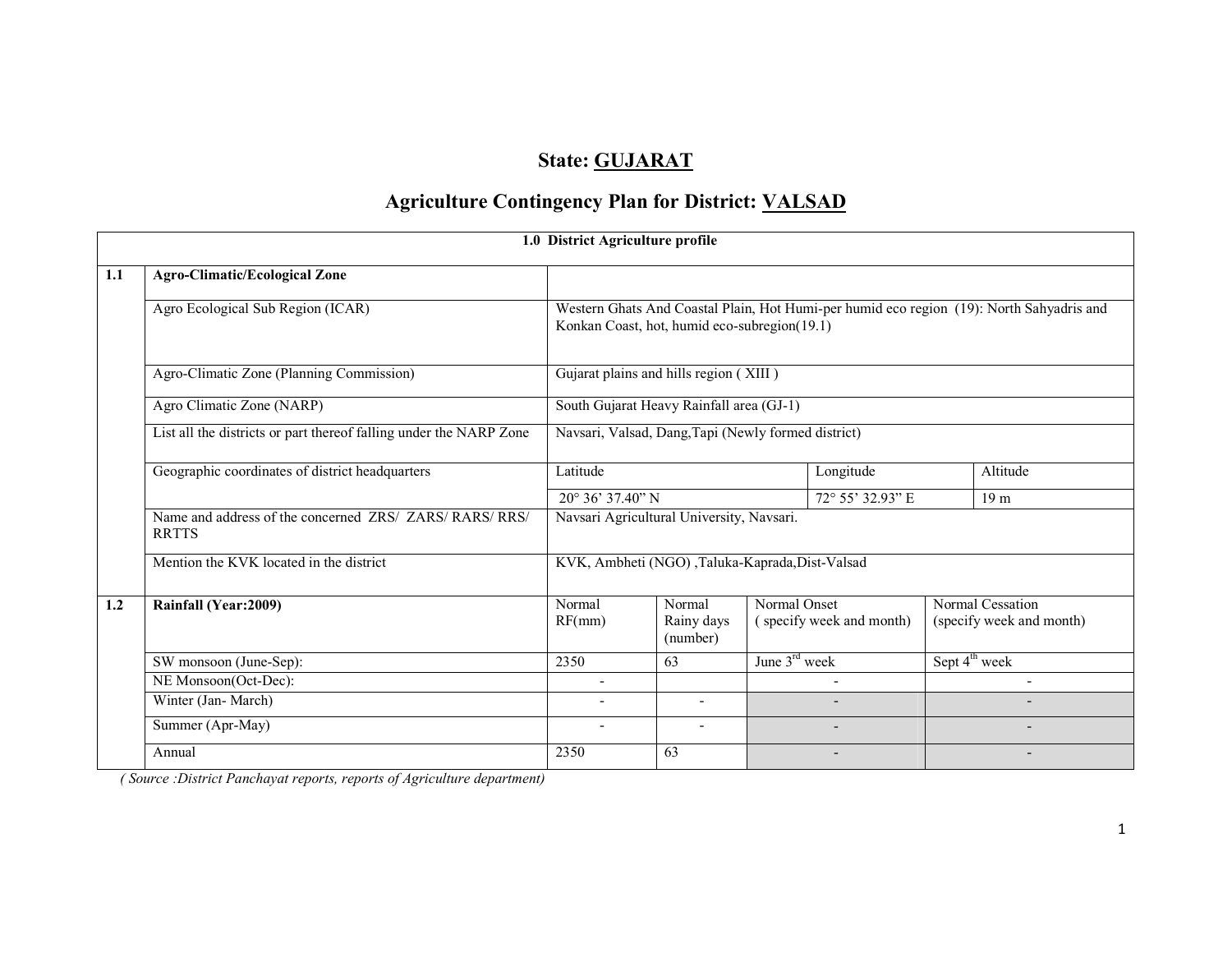# State: GUJARAT

# Agriculture Contingency Plan for District: VALSAD

|     |                                                                         | 1.0 District Agriculture profile                    |                                  |               |                          |                 |                                                                                          |
|-----|-------------------------------------------------------------------------|-----------------------------------------------------|----------------------------------|---------------|--------------------------|-----------------|------------------------------------------------------------------------------------------|
| 1.1 | <b>Agro-Climatic/Ecological Zone</b>                                    |                                                     |                                  |               |                          |                 |                                                                                          |
|     | Agro Ecological Sub Region (ICAR)                                       | Konkan Coast, hot, humid eco-subregion(19.1)        |                                  |               |                          |                 | Western Ghats And Coastal Plain, Hot Humi-per humid eco region (19): North Sahyadris and |
|     | Agro-Climatic Zone (Planning Commission)                                | Gujarat plains and hills region (XIII)              |                                  |               |                          |                 |                                                                                          |
|     | Agro Climatic Zone (NARP)                                               | South Gujarat Heavy Rainfall area (GJ-1)            |                                  |               |                          |                 |                                                                                          |
|     | List all the districts or part thereof falling under the NARP Zone      | Navsari, Valsad, Dang, Tapi (Newly formed district) |                                  |               |                          |                 |                                                                                          |
|     | Geographic coordinates of district headquarters                         | Latitude                                            |                                  |               | Longitude                |                 | Altitude                                                                                 |
|     |                                                                         | 72° 55' 32.93" E<br>$20^{\circ}$ 36' 37.40" N       |                                  |               |                          | 19 <sub>m</sub> |                                                                                          |
|     | Name and address of the concerned ZRS/ ZARS/ RARS/ RRS/<br><b>RRTTS</b> | Navsari Agricultural University, Navsari.           |                                  |               |                          |                 |                                                                                          |
|     | Mention the KVK located in the district                                 | KVK, Ambheti (NGO), Taluka-Kaprada, Dist-Valsad     |                                  |               |                          |                 |                                                                                          |
| 1.2 | Rainfall (Year: 2009)                                                   | Normal<br>RF(mm)                                    | Normal<br>Rainy days<br>(number) | Normal Onset  | (specify week and month) |                 | Normal Cessation<br>(specify week and month)                                             |
|     | SW monsoon (June-Sep):                                                  | 2350                                                | 63                               | June 3rd week |                          |                 | Sept 4 <sup>th</sup> week                                                                |
|     | NE Monsoon(Oct-Dec):                                                    | $\blacksquare$                                      |                                  |               |                          |                 | ۰                                                                                        |
|     | Winter (Jan-March)                                                      |                                                     | $\overline{\phantom{a}}$         |               |                          |                 |                                                                                          |
|     | Summer (Apr-May)                                                        |                                                     |                                  |               |                          |                 |                                                                                          |
|     | Annual                                                                  | 2350                                                | 63                               |               |                          |                 |                                                                                          |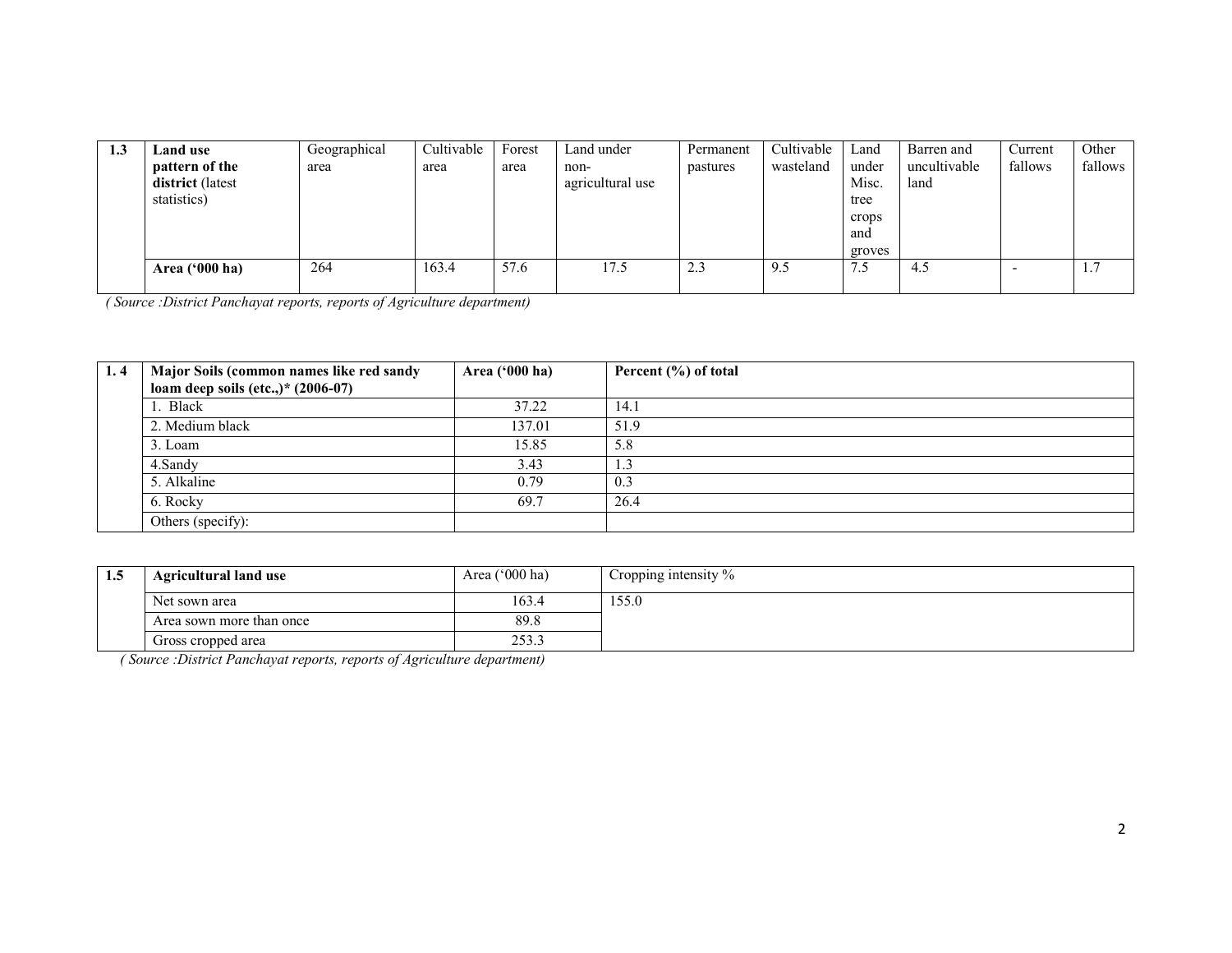| 1.3 | <b>Land use</b>                                    | Geographical | Cultivable | Forest | Land under               | Permanent | Cultivable | Land                                             | Barren and           | Current | Other     |
|-----|----------------------------------------------------|--------------|------------|--------|--------------------------|-----------|------------|--------------------------------------------------|----------------------|---------|-----------|
|     | pattern of the<br>district (latest)<br>statistics) | area         | area       | area   | non-<br>agricultural use | pastures  | wasteland  | under<br>Misc.<br>tree<br>crops<br>and<br>groves | uncultivable<br>land | fallows | fallows   |
|     | Area $(900 \text{ ha})$                            | 264          | 163.4      | 57.6   | 17.5                     | 2.3       | 9.5        | د.                                               | 4.5                  | -       | $1\ldots$ |

| 1.4 | Major Soils (common names like red sandy | Area ('000 ha) | Percent (%) of total |
|-----|------------------------------------------|----------------|----------------------|
|     | loam deep soils (etc.,)* $(2006-07)$     |                |                      |
|     | l. Black                                 | 37.22          | 14.1                 |
|     | 2. Medium black                          | 137.01         | 51.9                 |
|     | 3. Loam                                  | 15.85          | 5.8                  |
|     | 4.Sandy                                  | 3.43           | 1.3                  |
|     | 5. Alkaline                              | 0.79           | 0.3                  |
|     | 6. Rocky                                 | 69.7           | 26.4                 |
|     | Others (specify):                        |                |                      |

| 1.5 | <b>Agricultural land use</b> | Area $('000 ha)$ | Cropping intensity % |
|-----|------------------------------|------------------|----------------------|
|     | Net sown area                | 163.4            | 155.0                |
|     | Area sown more than once     | 89.8             |                      |
|     | Gross cropped area           | 253.3            |                      |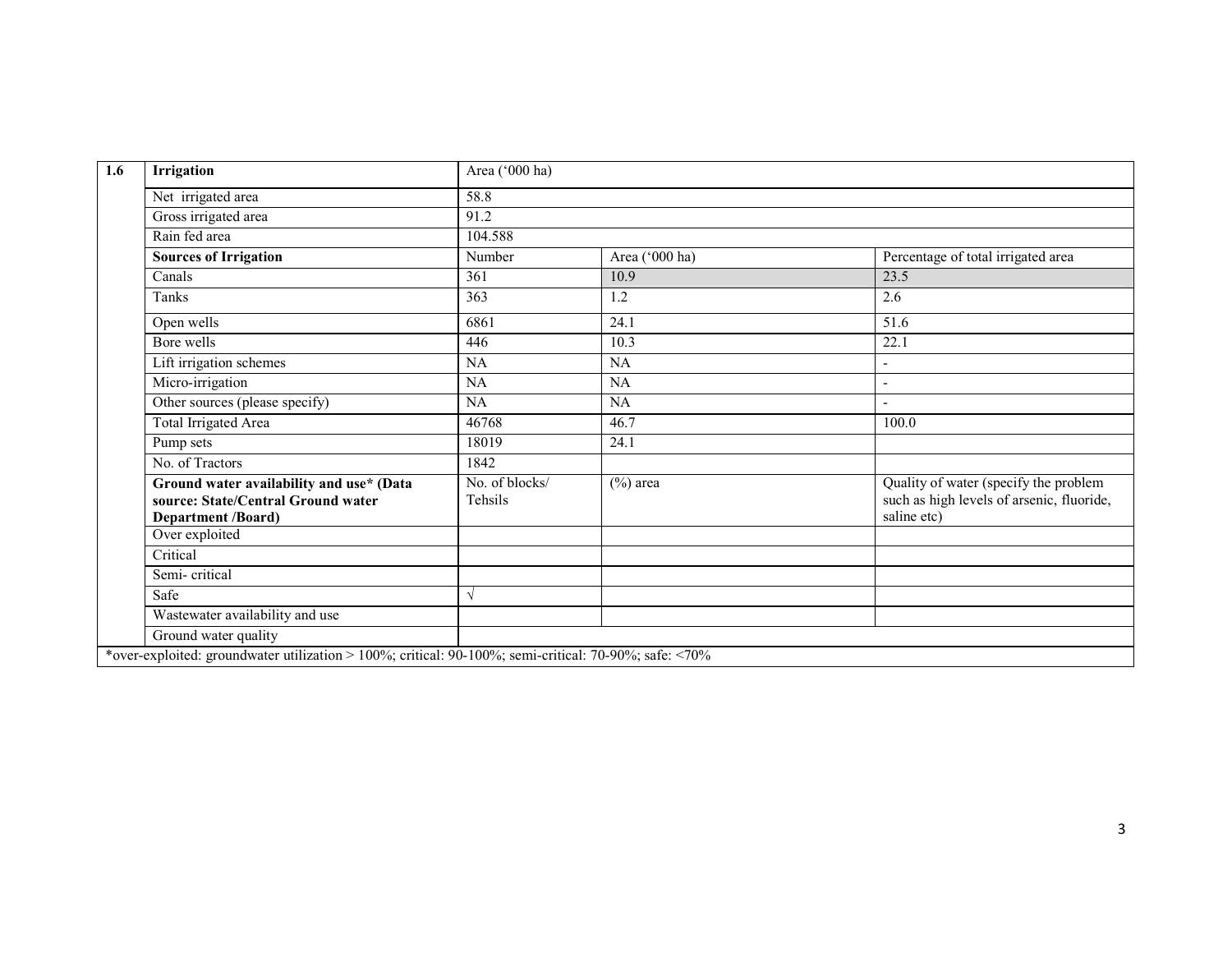| Irrigation                                                                                                  | Area ('000 ha)            |                |                                                                                                   |
|-------------------------------------------------------------------------------------------------------------|---------------------------|----------------|---------------------------------------------------------------------------------------------------|
| Net irrigated area                                                                                          | 58.8                      |                |                                                                                                   |
| Gross irrigated area                                                                                        | 91.2                      |                |                                                                                                   |
| Rain fed area                                                                                               | 104.588                   |                |                                                                                                   |
| <b>Sources of Irrigation</b>                                                                                | Number                    | Area ('000 ha) | Percentage of total irrigated area                                                                |
| Canals                                                                                                      | 361                       | 10.9           | 23.5                                                                                              |
| Tanks                                                                                                       | 363                       | 1.2            | 2.6                                                                                               |
| Open wells                                                                                                  | 6861                      | 24.1           | 51.6                                                                                              |
| Bore wells                                                                                                  | 446                       | 10.3           | 22.1                                                                                              |
| Lift irrigation schemes                                                                                     | NA                        | NA             |                                                                                                   |
| Micro-irrigation                                                                                            | NA                        | NA             |                                                                                                   |
| Other sources (please specify)                                                                              | NA                        | NA             |                                                                                                   |
| Total Irrigated Area                                                                                        | 46768                     | 46.7           | 100.0                                                                                             |
| Pump sets                                                                                                   | 18019                     | 24.1           |                                                                                                   |
| No. of Tractors                                                                                             | 1842                      |                |                                                                                                   |
| Ground water availability and use* (Data<br>source: State/Central Ground water<br><b>Department /Board)</b> | No. of blocks/<br>Tehsils | $(\%)$ area    | Quality of water (specify the problem<br>such as high levels of arsenic, fluoride,<br>saline etc) |
| Over exploited                                                                                              |                           |                |                                                                                                   |
| Critical                                                                                                    |                           |                |                                                                                                   |
| Semi-critical                                                                                               |                           |                |                                                                                                   |
| Safe                                                                                                        | $\sqrt{ }$                |                |                                                                                                   |
| Wastewater availability and use                                                                             |                           |                |                                                                                                   |
| Ground water quality                                                                                        |                           |                |                                                                                                   |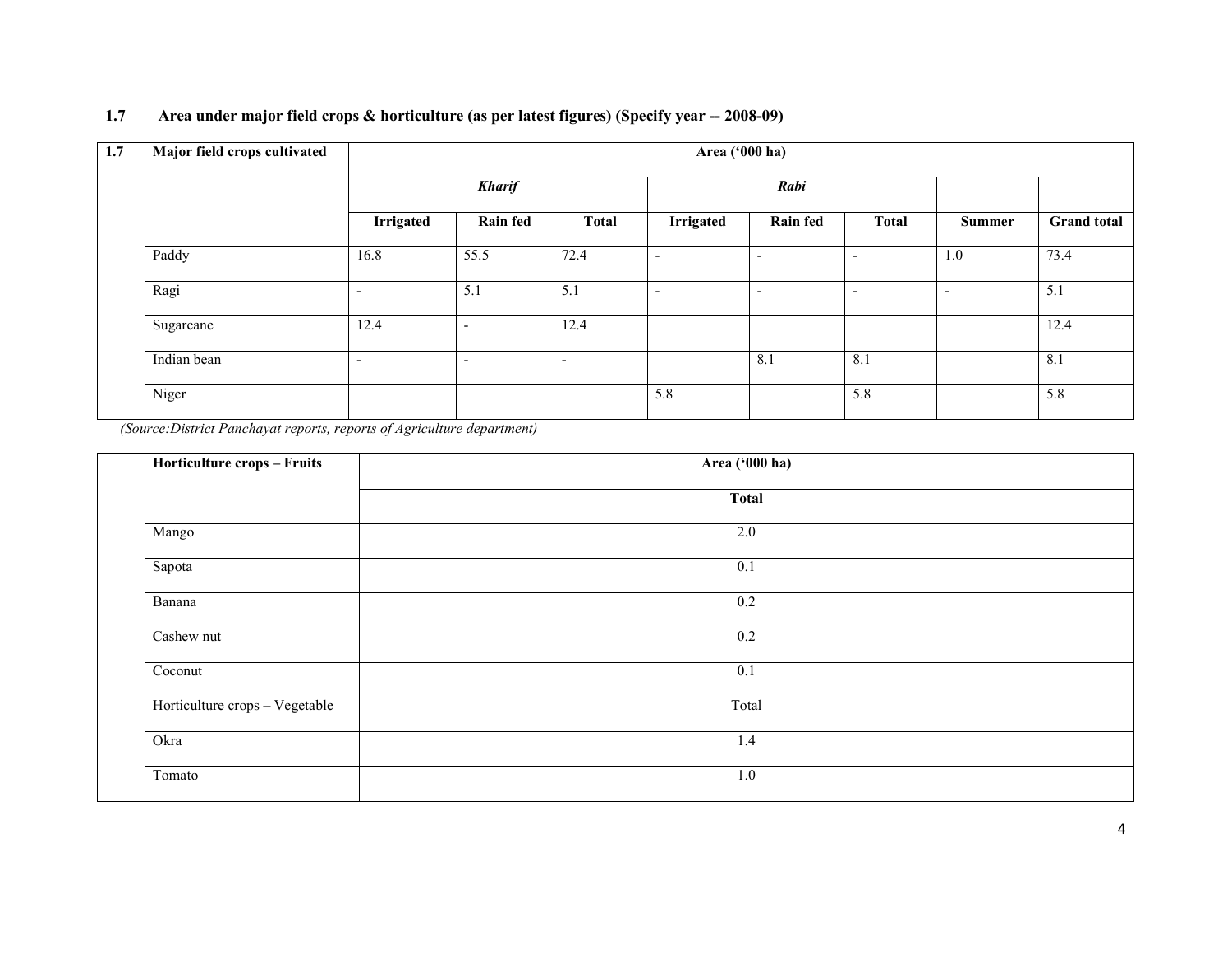#### 1.7 Area under major field crops & horticulture (as per latest figures) (Specify year -- 2008-09)

| 1.7 | Major field crops cultivated |                          | Area ('000 ha)           |                          |                          |                          |                          |                          |                    |  |  |  |
|-----|------------------------------|--------------------------|--------------------------|--------------------------|--------------------------|--------------------------|--------------------------|--------------------------|--------------------|--|--|--|
|     |                              |                          | <b>Kharif</b>            |                          |                          | Rabi                     |                          |                          |                    |  |  |  |
|     |                              | <b>Irrigated</b>         | <b>Rain fed</b>          | <b>Total</b>             | <b>Irrigated</b>         | <b>Rain fed</b>          | <b>Total</b>             | Summer                   | <b>Grand</b> total |  |  |  |
|     | Paddy                        | 16.8                     | 55.5                     | 72.4                     | $\overline{\phantom{a}}$ | $\overline{\phantom{a}}$ | $\overline{\phantom{a}}$ | 1.0                      | 73.4               |  |  |  |
|     | Ragi                         | $\overline{\phantom{a}}$ | 5.1                      | 5.1                      | $\overline{\phantom{a}}$ | $\overline{\phantom{a}}$ | $\overline{\phantom{a}}$ | $\overline{\phantom{a}}$ | 5.1                |  |  |  |
|     | Sugarcane                    | 12.4                     | $\overline{\phantom{a}}$ | 12.4                     |                          |                          |                          |                          | 12.4               |  |  |  |
|     | Indian bean                  | $\overline{\phantom{a}}$ | $\overline{\phantom{a}}$ | $\overline{\phantom{0}}$ |                          | 8.1                      | 8.1                      |                          | 8.1                |  |  |  |
|     | $\overline{\text{Niger}}$    |                          |                          |                          | 5.8                      |                          | 5.8                      |                          | 5.8                |  |  |  |

| Area ('000 ha) |  |
|----------------|--|
| <b>Total</b>   |  |
| 2.0            |  |
| 0.1            |  |
| 0.2            |  |
| 0.2            |  |
| 0.1            |  |
| Total          |  |
| 1.4            |  |
| $1.0\,$        |  |
|                |  |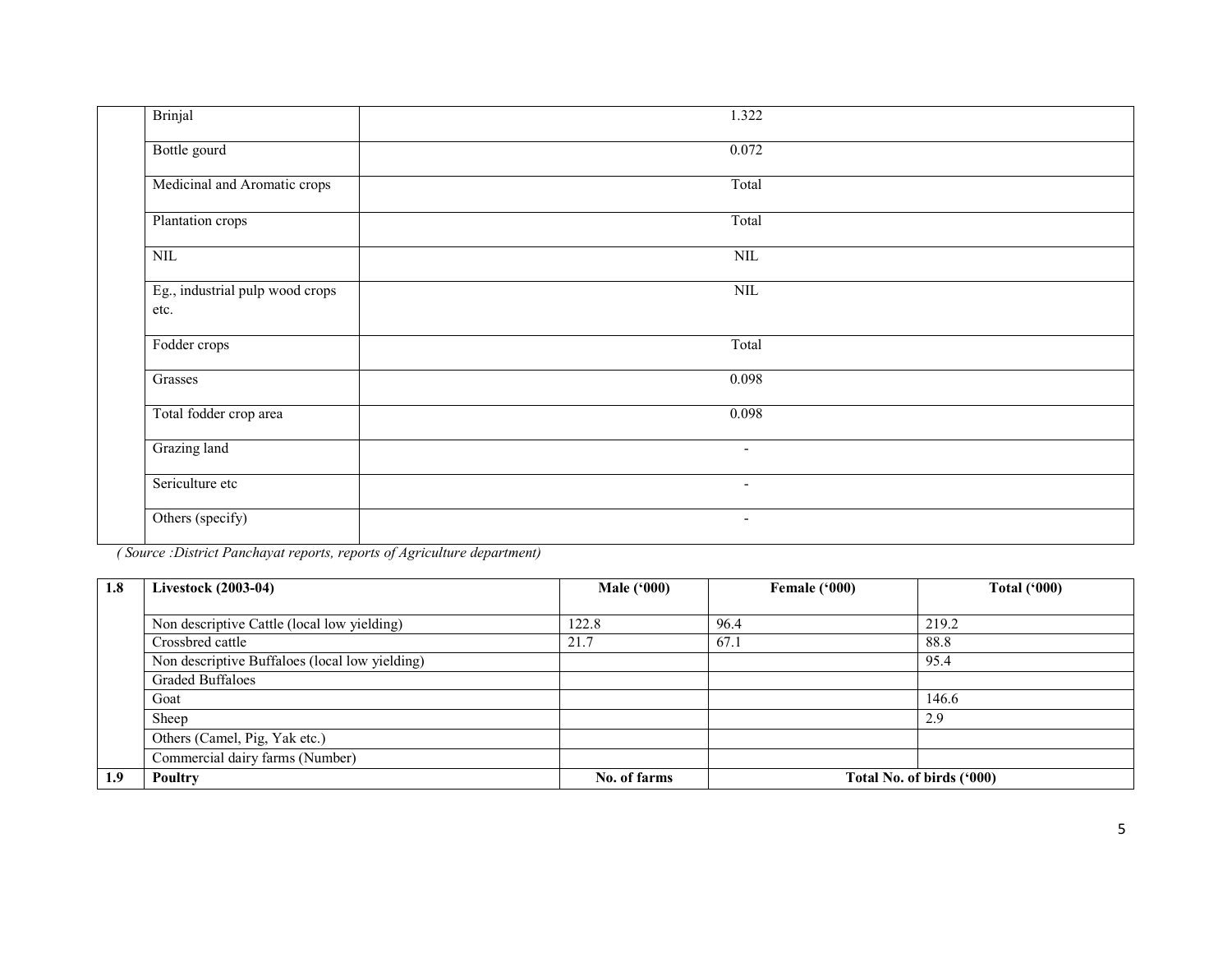| <b>Brinjal</b>                          | 1.322                    |
|-----------------------------------------|--------------------------|
| Bottle gourd                            | 0.072                    |
| Medicinal and Aromatic crops            | Total                    |
| Plantation crops                        | Total                    |
| $\overline{\text{NIL}}$                 | $\overline{\text{NIL}}$  |
| Eg., industrial pulp wood crops<br>etc. | $\overline{\text{NIL}}$  |
| Fodder crops                            | Total                    |
| Grasses                                 | 0.098                    |
| Total fodder crop area                  | 0.098                    |
| Grazing land                            | $\overline{\phantom{a}}$ |
| Sericulture etc                         | $\overline{\phantom{a}}$ |
| Others (specify)                        | $\overline{\phantom{a}}$ |

| 1.8 | <b>Livestock (2003-04)</b>                     | <b>Male ('000)</b> | Female ('000) | <b>Total ('000)</b>       |
|-----|------------------------------------------------|--------------------|---------------|---------------------------|
|     |                                                |                    |               |                           |
|     | Non descriptive Cattle (local low yielding)    | 122.8              | 96.4          | 219.2                     |
|     | Crossbred cattle                               | 21.7               | 67.1          | 88.8                      |
|     | Non descriptive Buffaloes (local low yielding) |                    |               | 95.4                      |
|     | <b>Graded Buffaloes</b>                        |                    |               |                           |
|     | Goat                                           |                    |               | 146.6                     |
|     | Sheep                                          |                    |               | 2.9                       |
|     | Others (Camel, Pig, Yak etc.)                  |                    |               |                           |
|     | Commercial dairy farms (Number)                |                    |               |                           |
| 1.9 | Poultry                                        | No. of farms       |               | Total No. of birds ('000) |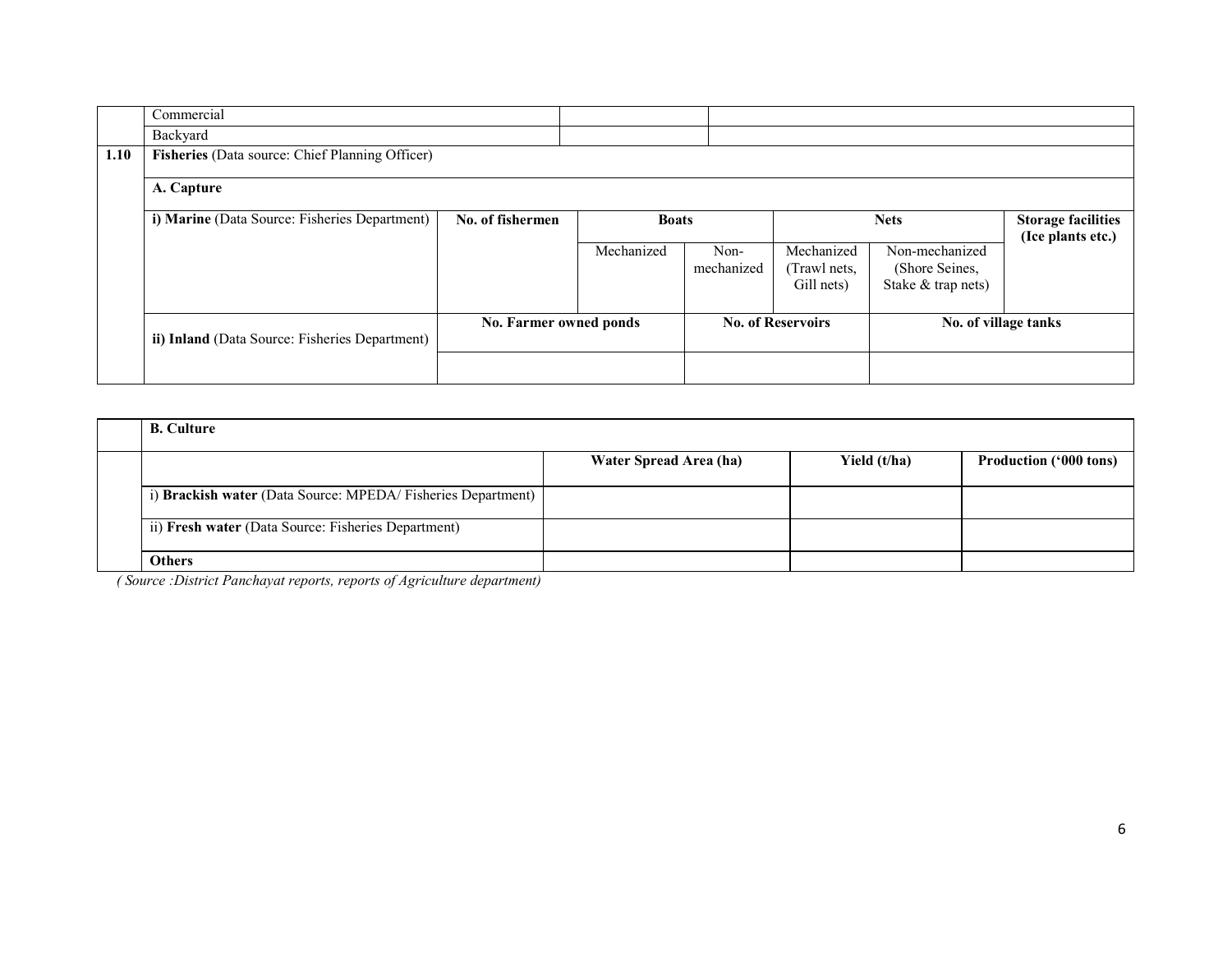|      | Commercial                                      |                        |              |                    |                            |                                  |                                                |
|------|-------------------------------------------------|------------------------|--------------|--------------------|----------------------------|----------------------------------|------------------------------------------------|
|      | Backyard                                        |                        |              |                    |                            |                                  |                                                |
| 1.10 | Fisheries (Data source: Chief Planning Officer) |                        |              |                    |                            |                                  |                                                |
|      | A. Capture                                      |                        |              |                    |                            |                                  |                                                |
|      | i) Marine (Data Source: Fisheries Department)   | No. of fishermen       | <b>Boats</b> |                    | <b>Nets</b>                |                                  | <b>Storage facilities</b><br>(Ice plants etc.) |
|      |                                                 |                        | Mechanized   | Non-<br>mechanized | Mechanized<br>(Trawl nets, | Non-mechanized<br>(Shore Seines, |                                                |
|      |                                                 |                        |              |                    | Gill nets)                 | Stake & trap nets)               |                                                |
|      |                                                 |                        |              |                    |                            |                                  |                                                |
|      | ii) Inland (Data Source: Fisheries Department)  | No. Farmer owned ponds |              |                    | <b>No. of Reservoirs</b>   | No. of village tanks             |                                                |
|      |                                                 |                        |              |                    |                            |                                  |                                                |

| <b>B.</b> Culture                                           |                        |              |                               |
|-------------------------------------------------------------|------------------------|--------------|-------------------------------|
|                                                             | Water Spread Area (ha) | Yield (t/ha) | <b>Production ('000 tons)</b> |
| i) Brackish water (Data Source: MPEDA/Fisheries Department) |                        |              |                               |
| ii) Fresh water (Data Source: Fisheries Department)         |                        |              |                               |
| <b>Others</b>                                               |                        |              |                               |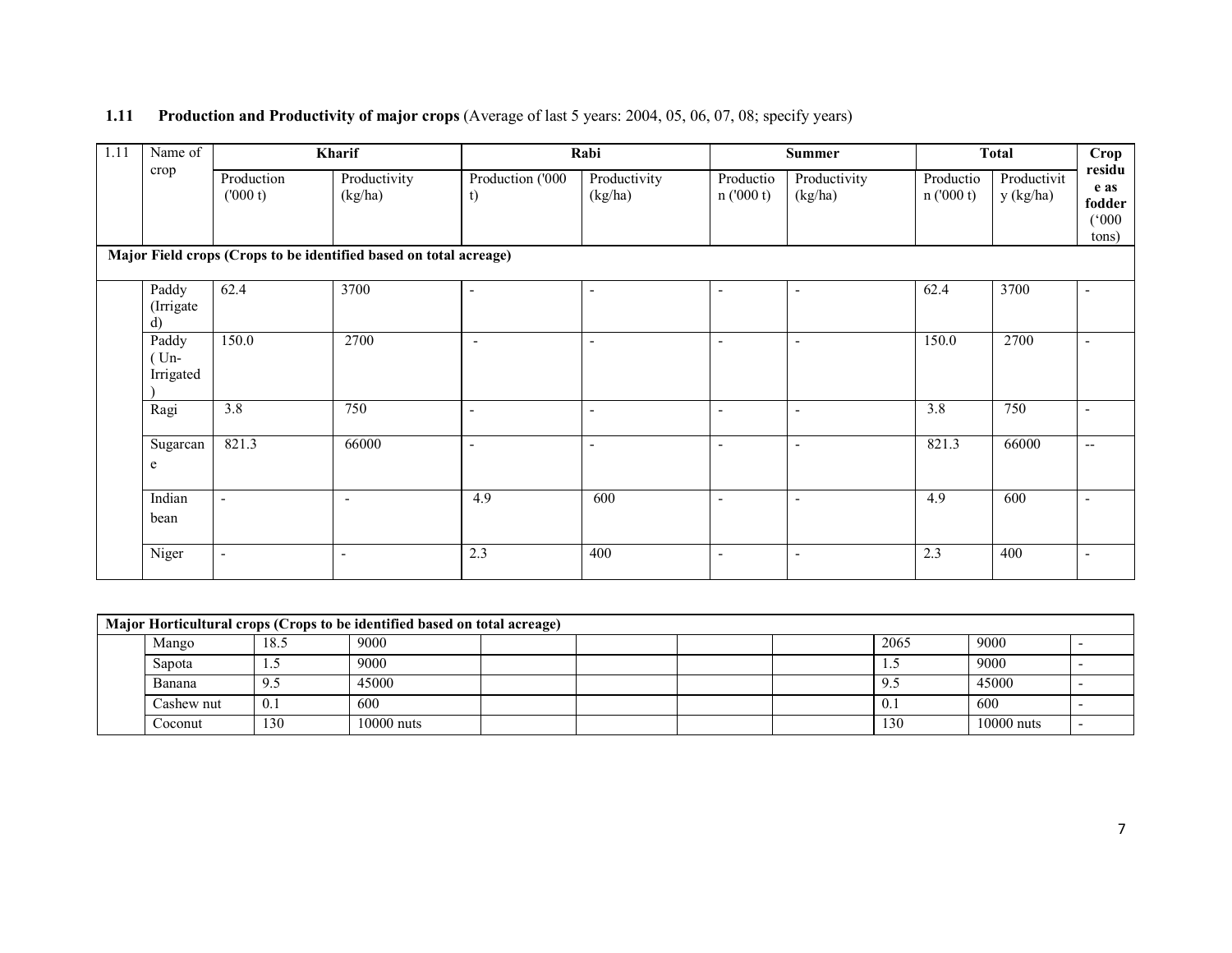#### 1.11 Production and Productivity of major crops (Average of last 5 years: 2004, 05, 06, 07, 08; specify years)

| 1.11 | Name of                     | Kharif                   |                                                                   |                        | Rabi                     |                          | <b>Summer</b>            |                       | <b>Total</b>             |                                            |
|------|-----------------------------|--------------------------|-------------------------------------------------------------------|------------------------|--------------------------|--------------------------|--------------------------|-----------------------|--------------------------|--------------------------------------------|
|      | crop                        | Production<br>(000 t)    | Productivity<br>(kg/ha)                                           | Production ('000<br>t) | Productivity<br>(kg/ha)  | Productio<br>n(000 t)    | Productivity<br>(kg/ha)  | Productio<br>n(000 t) | Productivit<br>y (kg/ha) | residu<br>e as<br>fodder<br>(000)<br>tons) |
|      |                             |                          | Major Field crops (Crops to be identified based on total acreage) |                        |                          |                          |                          |                       |                          |                                            |
|      | Paddy<br>(Irrigate)<br>d)   | 62.4                     | 3700                                                              | $\sim$                 | $\overline{\phantom{a}}$ | $\qquad \qquad -$        | $\overline{\phantom{a}}$ | 62.4                  | 3700                     | $\overline{\phantom{a}}$                   |
|      | Paddy<br>$Um-$<br>Irrigated | 150.0                    | 2700                                                              | $\blacksquare$         | $\blacksquare$           | $\blacksquare$           | $\overline{\phantom{a}}$ | 150.0                 | 2700                     | $\blacksquare$                             |
|      | Ragi                        | 3.8                      | 750                                                               | $\sim$                 | $\blacksquare$           | $\blacksquare$           | $\overline{\phantom{a}}$ | 3.8                   | 750                      | $\blacksquare$                             |
|      | Sugarcan<br>e               | 821.3                    | 66000                                                             | $\sim$                 | $\overline{\phantom{a}}$ | $\overline{\phantom{0}}$ | $\overline{\phantom{a}}$ | 821.3                 | 66000                    | $\overline{\phantom{a}}$                   |
|      | Indian<br>bean              | $\overline{\phantom{a}}$ | $\overline{\phantom{a}}$                                          | 4.9                    | 600                      | ٠                        | $\overline{\phantom{a}}$ | 4.9                   | 600                      |                                            |
|      | Niger                       | $\overline{\phantom{a}}$ | $\blacksquare$                                                    | 2.3                    | 400                      | $\blacksquare$           | $\overline{\phantom{a}}$ | 2.3                   | 400                      | $\blacksquare$                             |

| Major Horticultural crops (Crops to be identified based on total acreage) |            |      |              |  |  |  |  |           |              |  |
|---------------------------------------------------------------------------|------------|------|--------------|--|--|--|--|-----------|--------------|--|
|                                                                           | Mango      | 18.5 | 9000         |  |  |  |  | 2065      | 9000         |  |
|                                                                           | Sapota     |      | 9000         |  |  |  |  | سد        | 9000         |  |
|                                                                           | Banana     | 9.5  | 45000        |  |  |  |  | 9.5       | 45000        |  |
|                                                                           | Cashew nut | 0.1  | 600          |  |  |  |  | $^{+}$ 0. | 600          |  |
|                                                                           | Coconut    | 130  | $10000$ nuts |  |  |  |  | 130       | $10000$ nuts |  |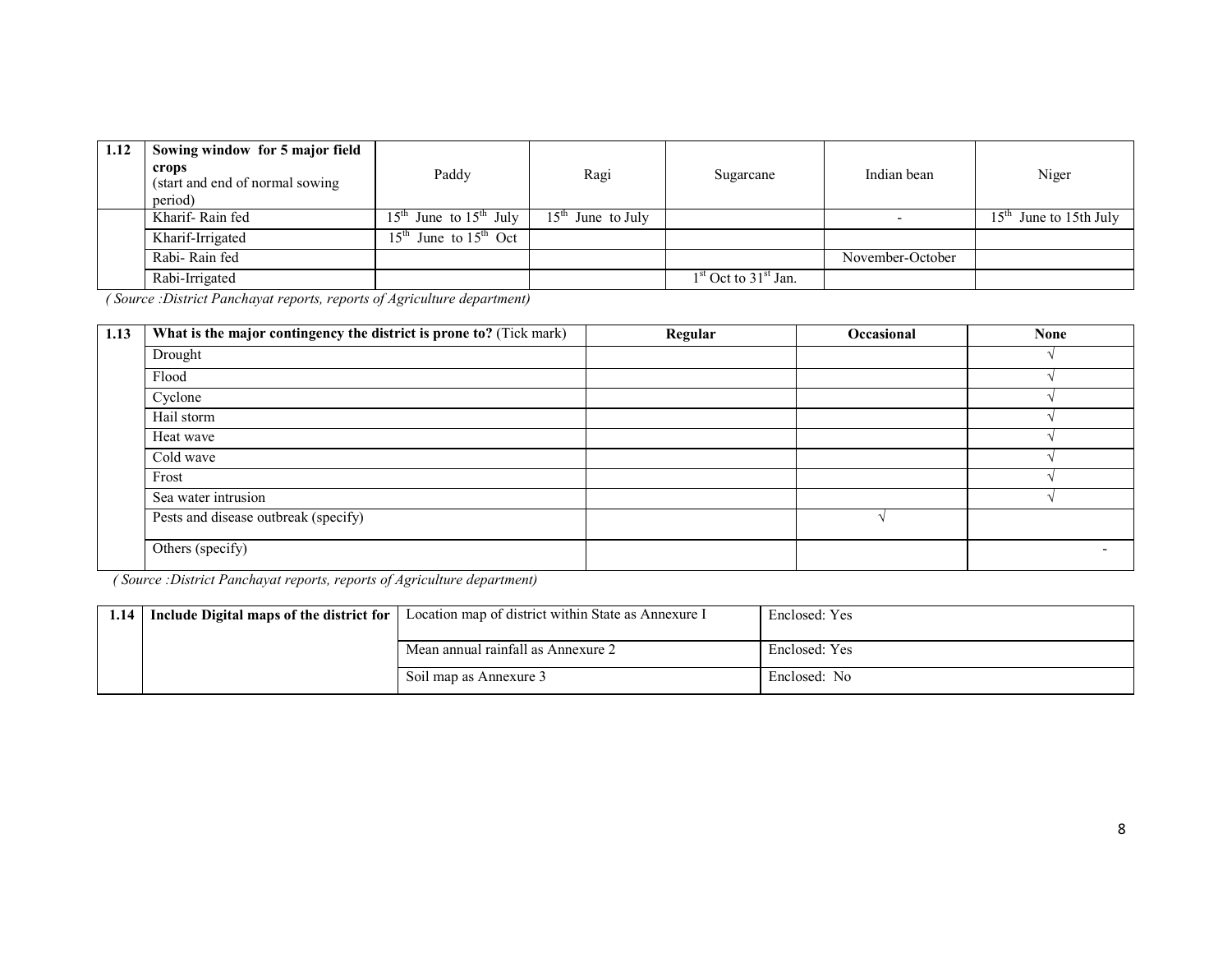| 1.12 | Sowing window for 5 major field<br>crops<br>(start and end of normal sowing<br>period) | Paddy                                             | Ragi                             | Sugarcane                | Indian bean      | Niger                                 |
|------|----------------------------------------------------------------------------------------|---------------------------------------------------|----------------------------------|--------------------------|------------------|---------------------------------------|
|      | Kharif-Rain fed                                                                        | June to $15^{\text{th}}$ July<br>15 <sup>th</sup> | $15^{\text{th}}$<br>June to July |                          |                  | $15^{\text{th}}$<br>June to 15th July |
|      | Kharif-Irrigated                                                                       | $15th$ June to $15th$ Oct                         |                                  |                          |                  |                                       |
|      | Rabi-Rain fed                                                                          |                                                   |                                  |                          | November-October |                                       |
|      | Rabi-Irrigated                                                                         |                                                   |                                  | $1st$ Oct to $31st$ Jan. |                  |                                       |

| 1.13 | What is the major contingency the district is prone to? (Tick mark) | Regular | Occasional | <b>None</b> |
|------|---------------------------------------------------------------------|---------|------------|-------------|
|      | Drought                                                             |         |            |             |
|      | Flood                                                               |         |            |             |
|      | Cyclone                                                             |         |            |             |
|      | Hail storm                                                          |         |            |             |
|      | Heat wave                                                           |         |            |             |
|      | Cold wave                                                           |         |            |             |
|      | Frost                                                               |         |            |             |
|      | Sea water intrusion                                                 |         |            |             |
|      | Pests and disease outbreak (specify)                                |         |            |             |
|      | Others (specify)                                                    |         |            |             |

| 1.14 | Include Digital maps of the district for | Location map of district within State as Annexure I | Enclosed: Yes |
|------|------------------------------------------|-----------------------------------------------------|---------------|
|      |                                          |                                                     |               |
|      |                                          | Mean annual rainfall as Annexure 2                  | Enclosed: Yes |
|      |                                          | Soil map as Annexure 3                              | Enclosed: No  |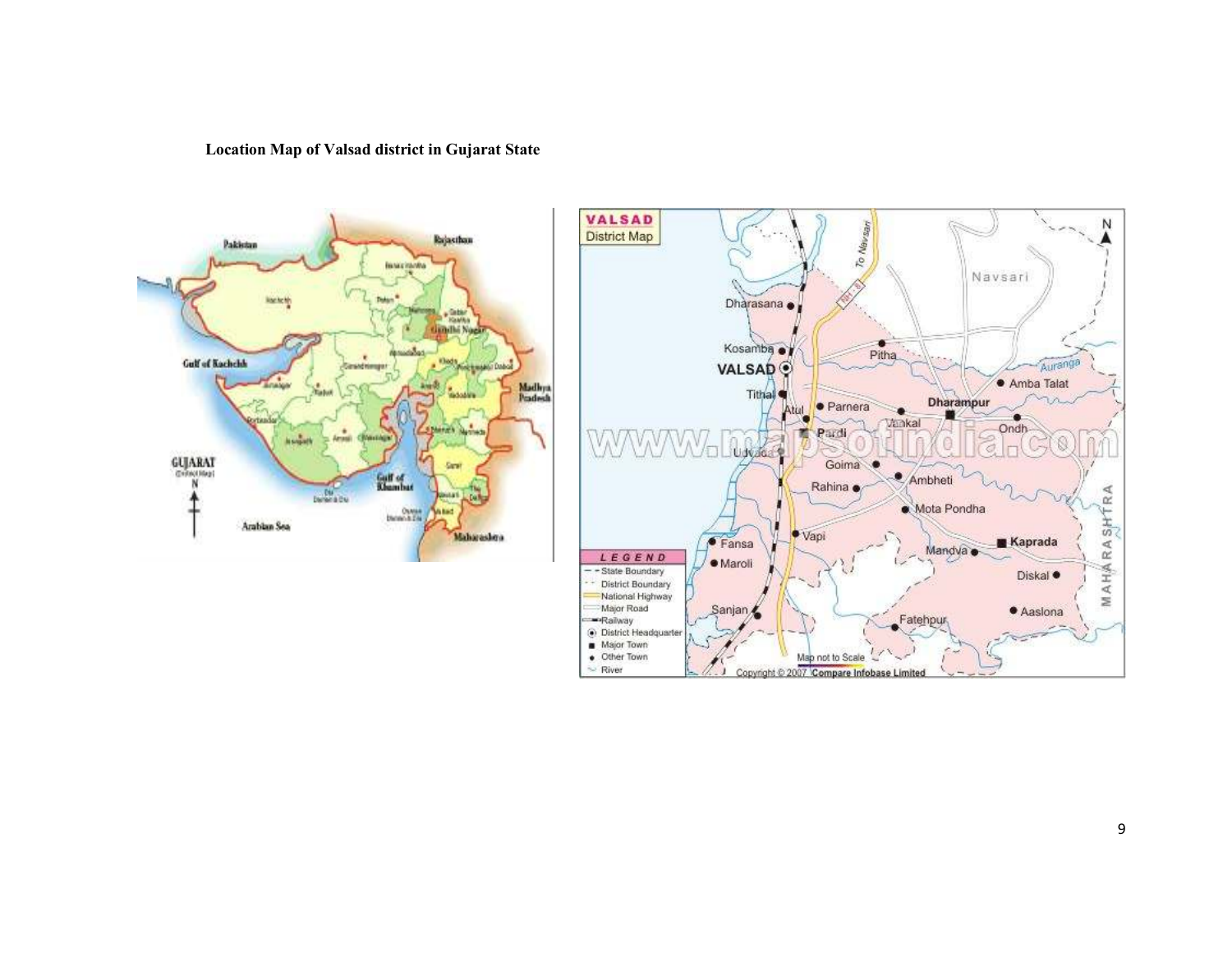Location Map of Valsad district in Gujarat State



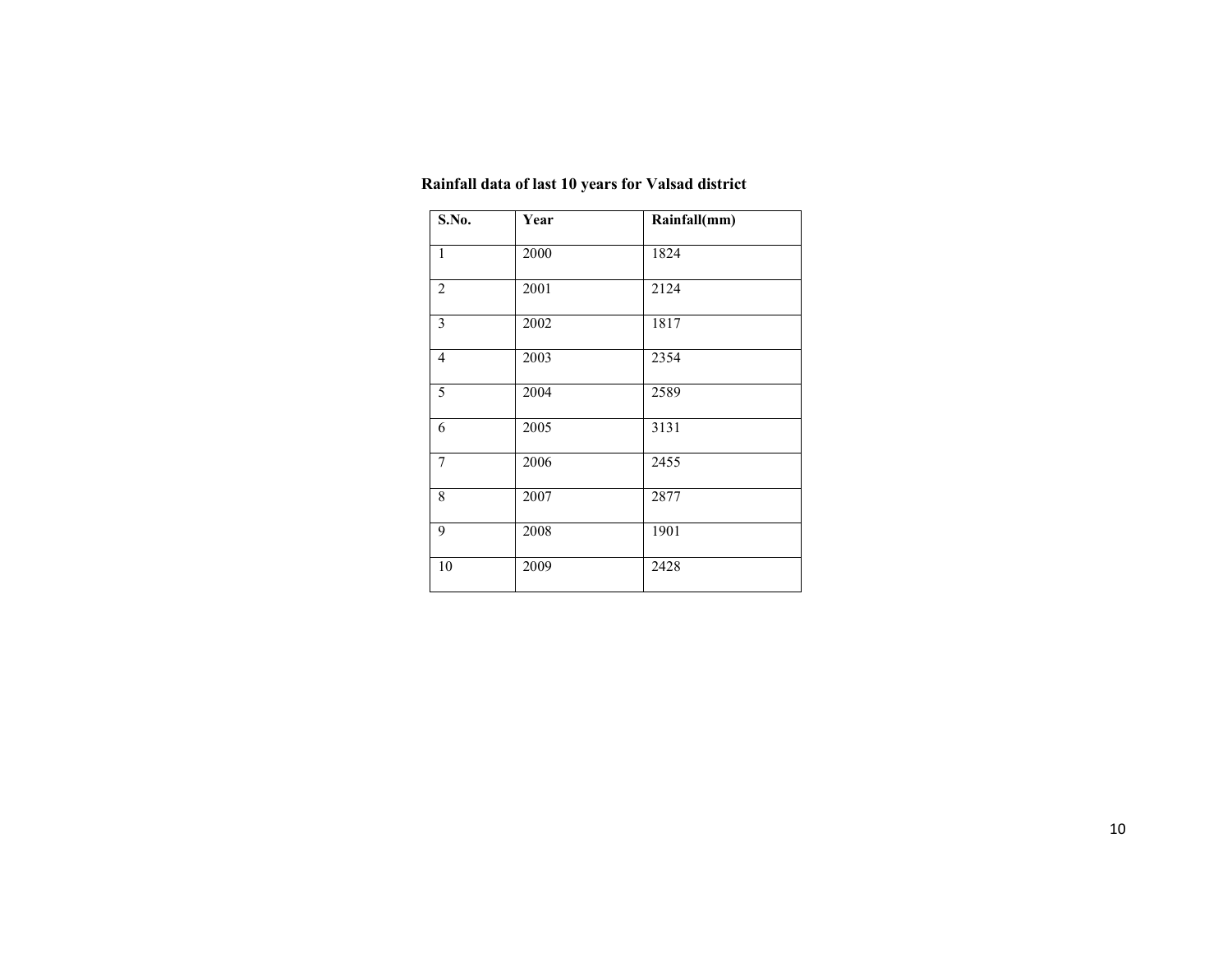| Rainfall data of last 10 years for Valsad district |  |
|----------------------------------------------------|--|
|----------------------------------------------------|--|

| S.No.                   | Year | Rainfall(mm) |
|-------------------------|------|--------------|
| $\mathbf{1}$            | 2000 | 1824         |
| $\overline{c}$          | 2001 | 2124         |
| $\overline{\mathbf{3}}$ | 2002 | 1817         |
| $\overline{4}$          | 2003 | 2354         |
| 5                       | 2004 | 2589         |
| 6                       | 2005 | 3131         |
| 7                       | 2006 | 2455         |
| 8                       | 2007 | 2877         |
| 9                       | 2008 | 1901         |
| 10                      | 2009 | 2428         |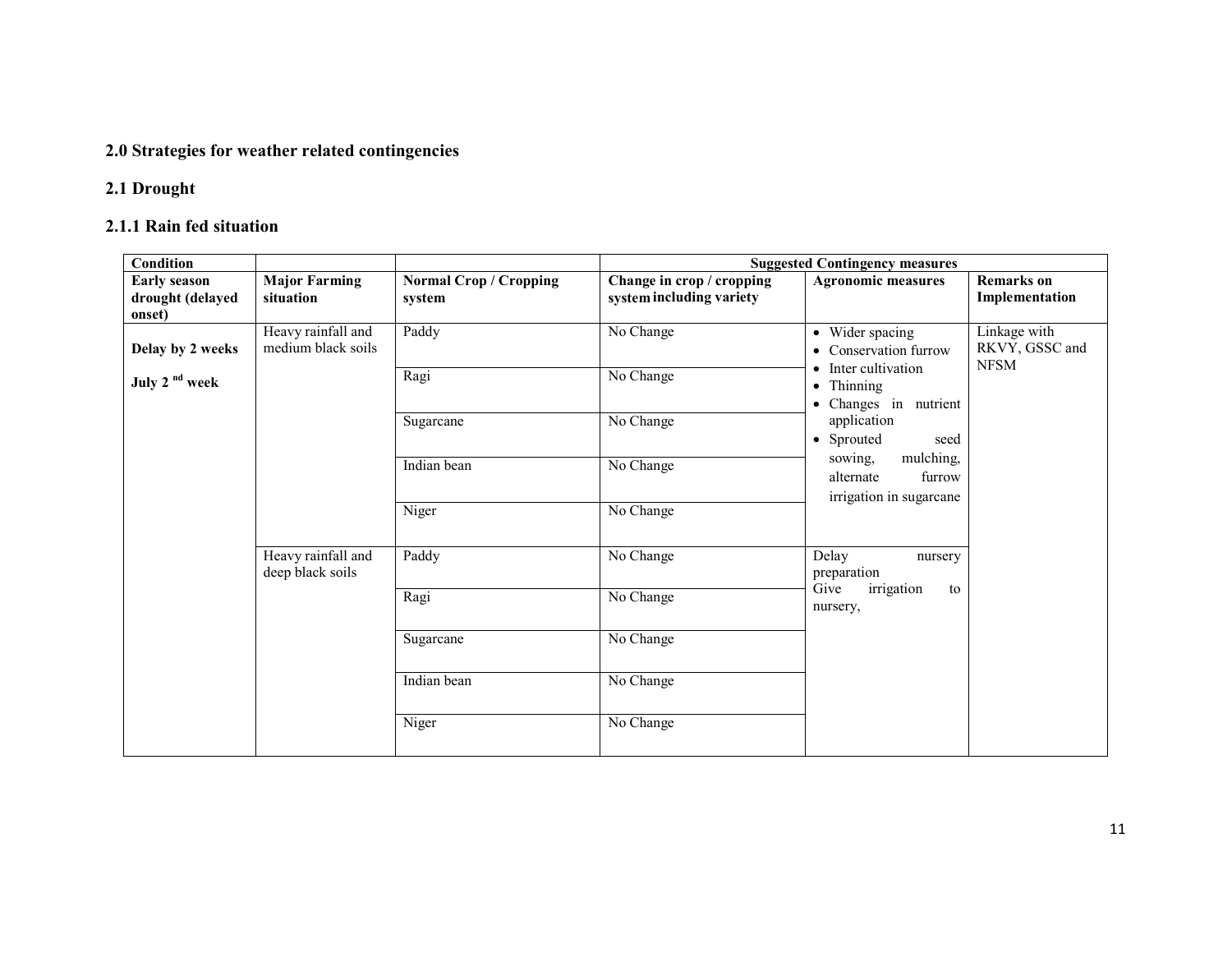### 2.0 Strategies for weather related contingencies

#### 2.1 Drought

### 2.1.1 Rain fed situation

| <b>Condition</b>                                  |                                          |                                         | <b>Suggested Contingency measures</b>                 |                                                                                                                                                                                                                                                                   |                                               |  |  |
|---------------------------------------------------|------------------------------------------|-----------------------------------------|-------------------------------------------------------|-------------------------------------------------------------------------------------------------------------------------------------------------------------------------------------------------------------------------------------------------------------------|-----------------------------------------------|--|--|
| <b>Early season</b><br>drought (delayed<br>onset) | <b>Major Farming</b><br>situation        | <b>Normal Crop / Cropping</b><br>system | Change in crop / cropping<br>system including variety | <b>Agronomic measures</b>                                                                                                                                                                                                                                         | <b>Remarks</b> on<br>Implementation           |  |  |
| Delay by 2 weeks                                  | Heavy rainfall and<br>medium black soils | Paddy                                   | No Change                                             | • Wider spacing<br>Conservation furrow<br>$\bullet$<br>Inter cultivation<br>$\bullet$<br>Thinning<br>$\bullet$<br>Changes in nutrient<br>$\bullet$<br>application<br>• Sprouted<br>seed<br>mulching,<br>sowing.<br>alternate<br>furrow<br>irrigation in sugarcane | Linkage with<br>RKVY, GSSC and<br><b>NFSM</b> |  |  |
| July 2 <sup>nd</sup> week                         |                                          | Ragi                                    | No Change                                             |                                                                                                                                                                                                                                                                   |                                               |  |  |
|                                                   |                                          | Sugarcane                               | No Change                                             |                                                                                                                                                                                                                                                                   |                                               |  |  |
|                                                   |                                          | Indian bean                             | No Change                                             |                                                                                                                                                                                                                                                                   |                                               |  |  |
|                                                   |                                          | Niger                                   | No Change                                             |                                                                                                                                                                                                                                                                   |                                               |  |  |
|                                                   | Heavy rainfall and<br>deep black soils   | Paddy                                   | No Change                                             | Delay<br>nursery<br>preparation<br>Give<br>irrigation<br>to<br>nursery,                                                                                                                                                                                           |                                               |  |  |
|                                                   |                                          | Ragi                                    | No Change                                             |                                                                                                                                                                                                                                                                   |                                               |  |  |
|                                                   |                                          | Sugarcane                               | No Change                                             |                                                                                                                                                                                                                                                                   |                                               |  |  |
|                                                   |                                          | Indian bean                             | No Change                                             |                                                                                                                                                                                                                                                                   |                                               |  |  |
|                                                   |                                          | Niger                                   | No Change                                             |                                                                                                                                                                                                                                                                   |                                               |  |  |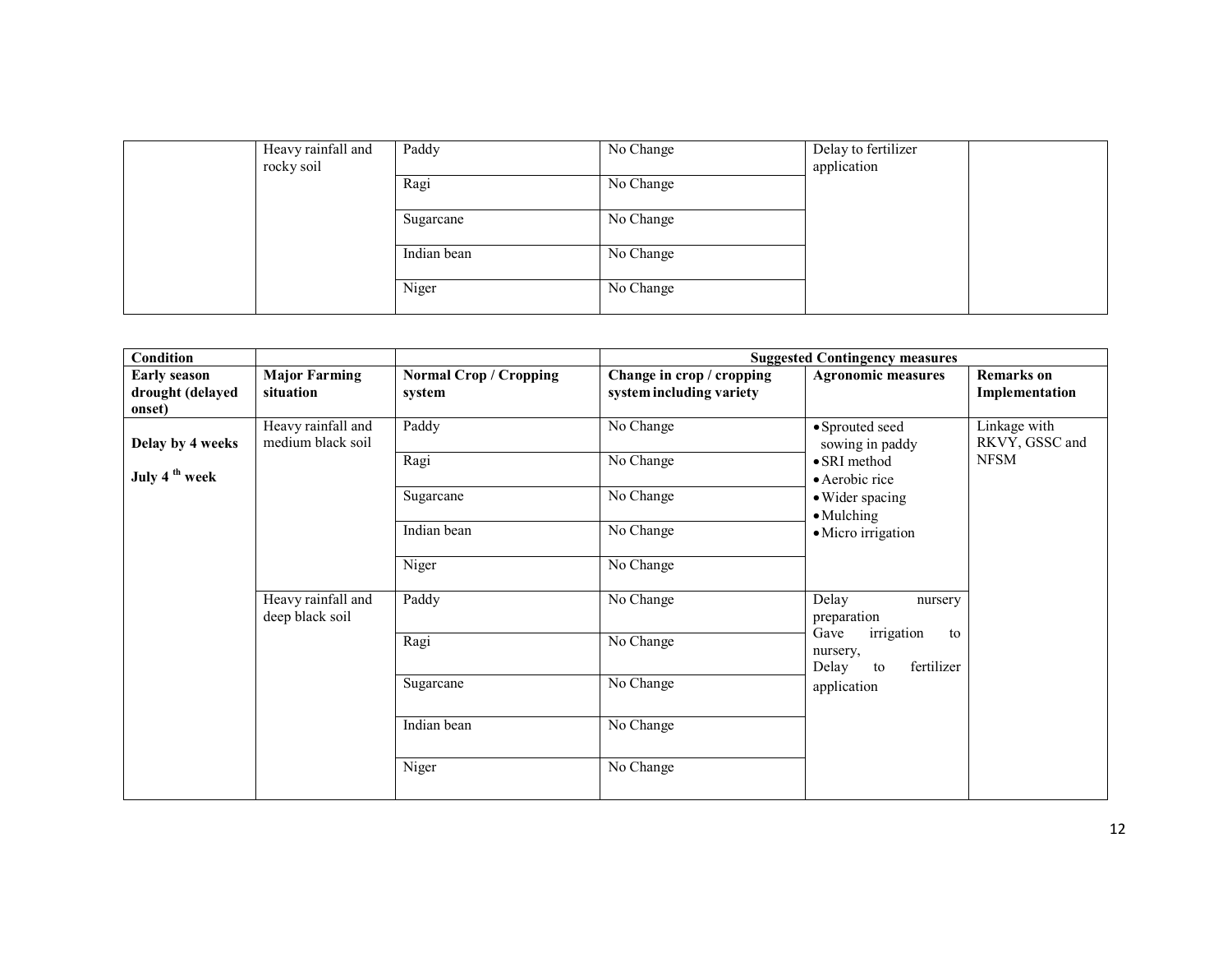| Heavy rainfall and<br>rocky soil | Paddy       | No Change | Delay to fertilizer<br>application |
|----------------------------------|-------------|-----------|------------------------------------|
|                                  | Ragi        | No Change |                                    |
|                                  | Sugarcane   | No Change |                                    |
|                                  | Indian bean | No Change |                                    |
|                                  |             |           |                                    |
|                                  | Niger       | No Change |                                    |

| Condition<br><b>Suggested Contingency measures</b> |                                         |                                         |                                                       |                                                                                  |                                     |
|----------------------------------------------------|-----------------------------------------|-----------------------------------------|-------------------------------------------------------|----------------------------------------------------------------------------------|-------------------------------------|
| <b>Early season</b><br>drought (delayed<br>onset)  | <b>Major Farming</b><br>situation       | <b>Normal Crop / Cropping</b><br>system | Change in crop / cropping<br>system including variety | <b>Agronomic measures</b>                                                        | <b>Remarks</b> on<br>Implementation |
| Delay by 4 weeks                                   | Heavy rainfall and<br>medium black soil | Paddy                                   | No Change                                             | • Sprouted seed<br>sowing in paddy                                               | Linkage with<br>RKVY, GSSC and      |
| July 4 <sup>th</sup> week                          |                                         | Ragi                                    | No Change                                             | • SRI method<br>• Aerobic rice                                                   | <b>NFSM</b>                         |
|                                                    |                                         | Sugarcane                               | No Change                                             | • Wider spacing<br>$\bullet$ Mulching                                            |                                     |
|                                                    |                                         | Indian bean                             | No Change                                             | • Micro irrigation                                                               |                                     |
|                                                    |                                         | Niger                                   | No Change                                             |                                                                                  |                                     |
|                                                    | Heavy rainfall and<br>deep black soil   | Paddy                                   | No Change                                             | Delay<br>nursery<br>preparation                                                  |                                     |
|                                                    |                                         | Ragi                                    | No Change                                             | Gave<br>irrigation<br>to<br>nursery,<br>fertilizer<br>Delay<br>to<br>application |                                     |
|                                                    |                                         | Sugarcane                               | No Change                                             |                                                                                  |                                     |
|                                                    |                                         | Indian bean                             | No Change                                             |                                                                                  |                                     |
|                                                    |                                         | Niger                                   | No Change                                             |                                                                                  |                                     |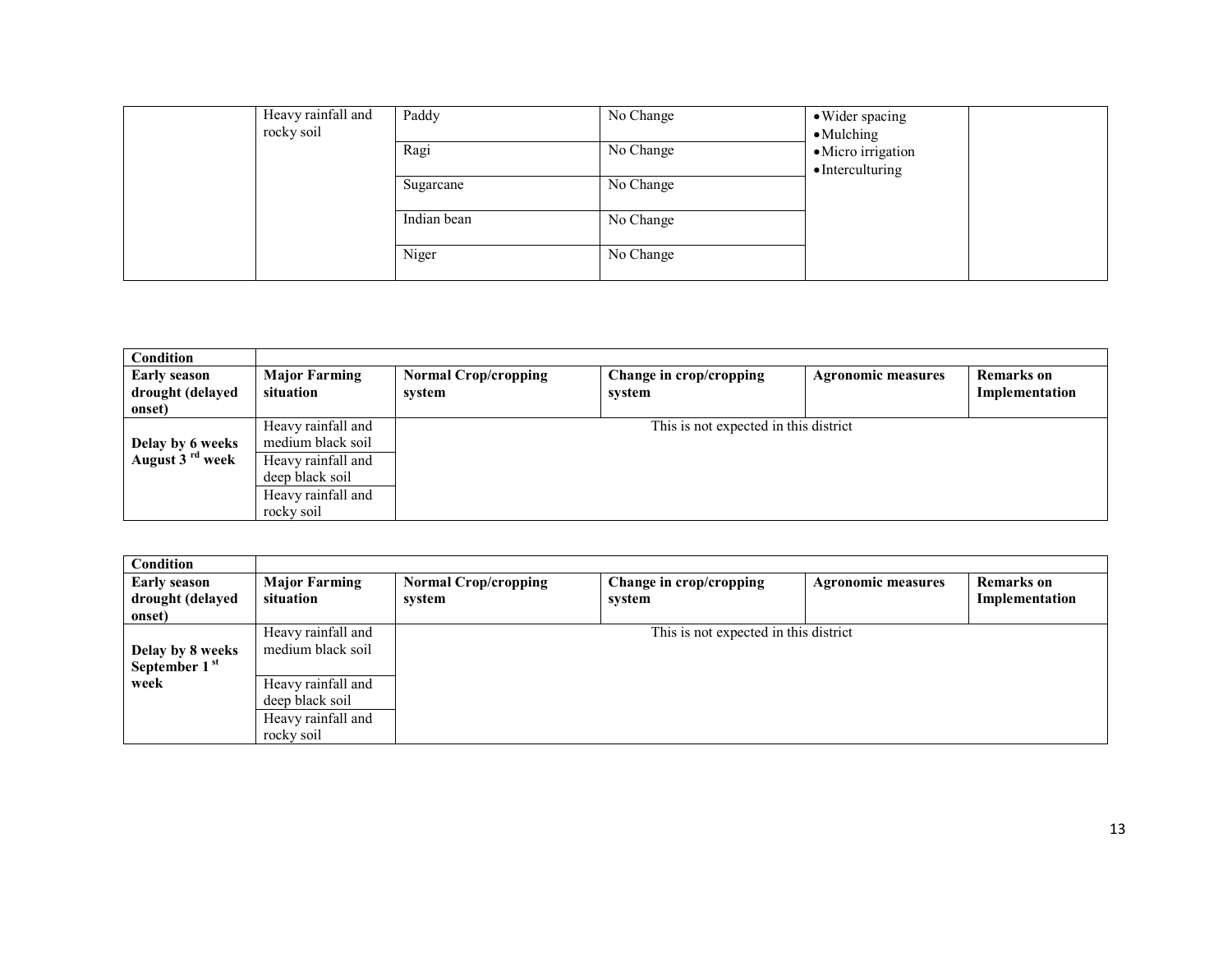| Heavy rainfall and<br>rocky soil | Paddy       | No Change | • Wider spacing<br>$\bullet$ Mulching         |
|----------------------------------|-------------|-----------|-----------------------------------------------|
|                                  | Ragi        | No Change | ·Micro irrigation<br>$\bullet$ Interculturing |
|                                  | Sugarcane   | No Change |                                               |
|                                  | Indian bean | No Change |                                               |
|                                  | Niger       | No Change |                                               |

| Condition                   |                                   |                                       |                         |                           |                   |  |
|-----------------------------|-----------------------------------|---------------------------------------|-------------------------|---------------------------|-------------------|--|
| <b>Early season</b>         | <b>Major Farming</b><br>situation | <b>Normal Crop/cropping</b>           | Change in crop/cropping | <b>Agronomic measures</b> | <b>Remarks</b> on |  |
| drought (delayed            |                                   | system                                | system                  |                           | Implementation    |  |
| onset)                      |                                   |                                       |                         |                           |                   |  |
|                             | Heavy rainfall and                | This is not expected in this district |                         |                           |                   |  |
| Delay by 6 weeks            | medium black soil                 |                                       |                         |                           |                   |  |
| August 3 <sup>rd</sup> week | Heavy rainfall and                |                                       |                         |                           |                   |  |
|                             | deep black soil                   |                                       |                         |                           |                   |  |
|                             | Heavy rainfall and                |                                       |                         |                           |                   |  |
|                             | rocky soil                        |                                       |                         |                           |                   |  |

| Condition<br><b>Early season</b><br>drought (delayed<br>onset) | <b>Major Farming</b><br>situation       | <b>Normal Crop/cropping</b><br>system | Change in crop/cropping<br>system | <b>Agronomic measures</b> | <b>Remarks</b> on<br>Implementation |  |  |
|----------------------------------------------------------------|-----------------------------------------|---------------------------------------|-----------------------------------|---------------------------|-------------------------------------|--|--|
| Delay by 8 weeks                                               | Heavy rainfall and<br>medium black soil | This is not expected in this district |                                   |                           |                                     |  |  |
| September 1 <sup>st</sup>                                      |                                         |                                       |                                   |                           |                                     |  |  |
| week                                                           | Heavy rainfall and                      |                                       |                                   |                           |                                     |  |  |
|                                                                | deep black soil                         |                                       |                                   |                           |                                     |  |  |
|                                                                | Heavy rainfall and                      |                                       |                                   |                           |                                     |  |  |
|                                                                | rocky soil                              |                                       |                                   |                           |                                     |  |  |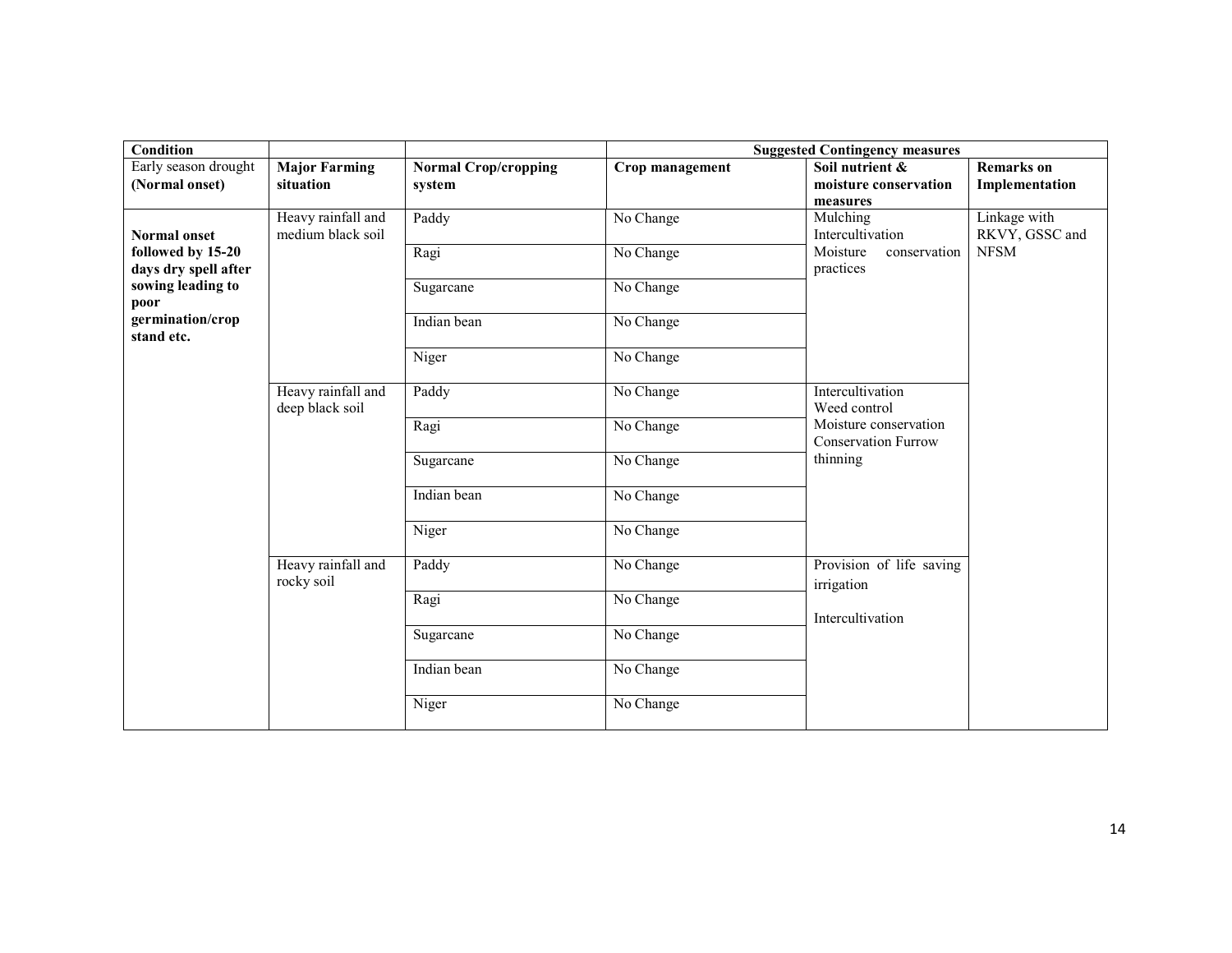| <b>Condition</b>                                  |                                         |                                       | <b>Suggested Contingency measures</b> |                                                                                                     |                                               |  |
|---------------------------------------------------|-----------------------------------------|---------------------------------------|---------------------------------------|-----------------------------------------------------------------------------------------------------|-----------------------------------------------|--|
| Early season drought<br>(Normal onset)            | <b>Major Farming</b><br>situation       | <b>Normal Crop/cropping</b><br>system | Crop management                       | Soil nutrient &<br>moisture conservation<br>measures                                                | <b>Remarks</b> on<br>Implementation           |  |
| <b>Normal onset</b><br>followed by 15-20          | Heavy rainfall and<br>medium black soil | Paddy<br>Ragi                         | No Change<br>No Change                | Mulching<br>Intercultivation<br>Moisture<br>conservation                                            | Linkage with<br>RKVY, GSSC and<br><b>NFSM</b> |  |
| days dry spell after<br>sowing leading to<br>poor |                                         | Sugarcane                             | No Change                             | practices                                                                                           |                                               |  |
| germination/crop<br>stand etc.                    |                                         | Indian bean                           | No Change                             |                                                                                                     |                                               |  |
|                                                   |                                         | Niger                                 | No Change                             |                                                                                                     |                                               |  |
|                                                   | Heavy rainfall and<br>deep black soil   | Paddy                                 | No Change                             | Intercultivation<br>Weed control<br>Moisture conservation<br><b>Conservation Furrow</b><br>thinning |                                               |  |
|                                                   |                                         | Ragi                                  | No Change                             |                                                                                                     |                                               |  |
|                                                   |                                         | Sugarcane                             | No Change                             |                                                                                                     |                                               |  |
|                                                   |                                         | Indian bean                           | No Change                             |                                                                                                     |                                               |  |
|                                                   |                                         | Niger                                 | No Change                             |                                                                                                     |                                               |  |
|                                                   | Heavy rainfall and<br>rocky soil        | Paddy                                 | No Change                             | Provision of life saving<br>irrigation<br>Intercultivation                                          |                                               |  |
|                                                   |                                         | Ragi                                  | No Change                             |                                                                                                     |                                               |  |
|                                                   |                                         | Sugarcane                             | No Change                             |                                                                                                     |                                               |  |
|                                                   |                                         | Indian bean                           | No Change                             |                                                                                                     |                                               |  |
|                                                   |                                         | Niger                                 | No Change                             |                                                                                                     |                                               |  |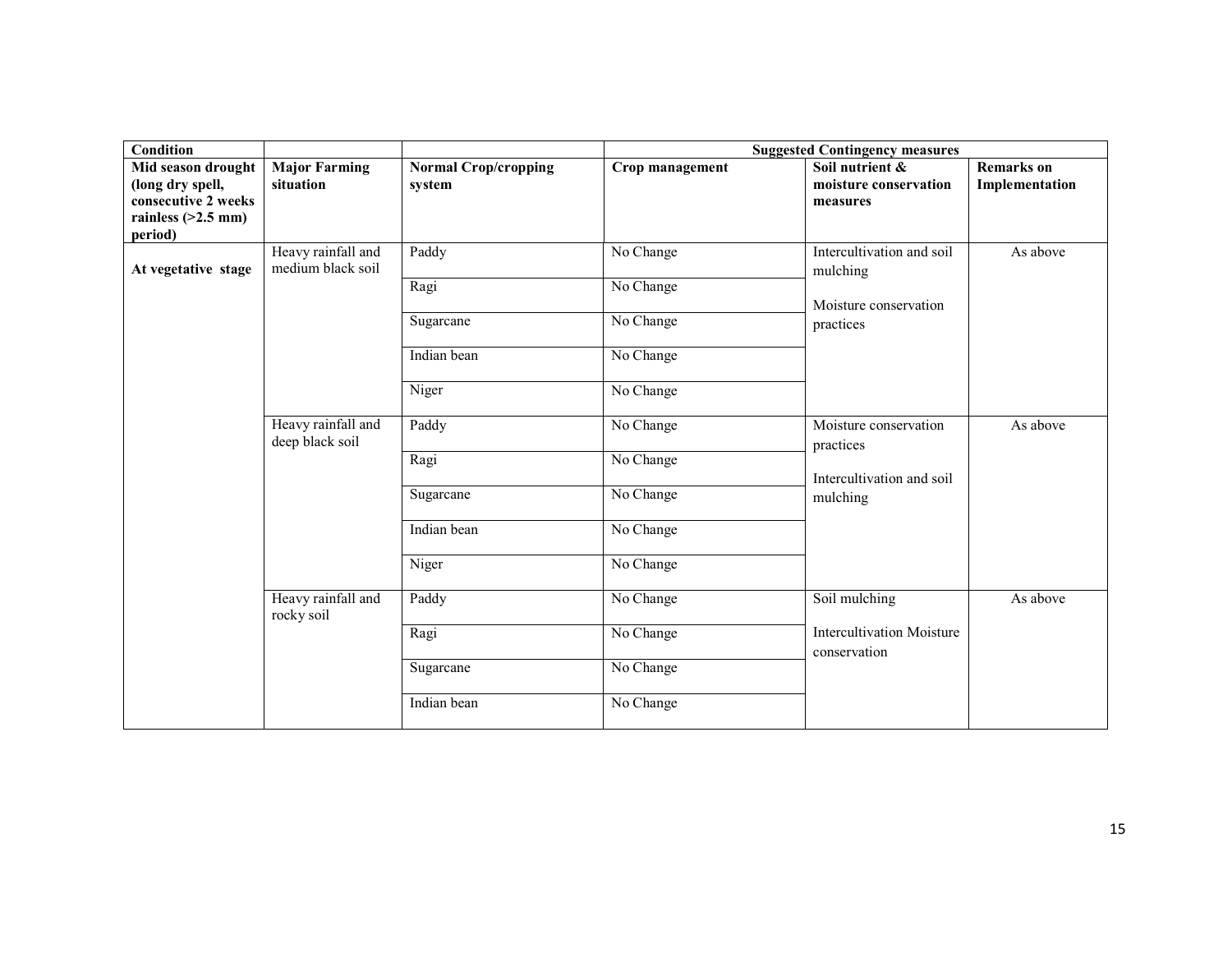| <b>Condition</b>                                                                                 |                                         | <b>Suggested Contingency measures</b> |                 |                                                                 |                                     |
|--------------------------------------------------------------------------------------------------|-----------------------------------------|---------------------------------------|-----------------|-----------------------------------------------------------------|-------------------------------------|
| Mid season drought<br>(long dry spell,<br>consecutive 2 weeks<br>rainless $(>2.5$ mm)<br>period) | <b>Major Farming</b><br>situation       | <b>Normal Crop/cropping</b><br>system | Crop management | Soil nutrient &<br>moisture conservation<br>measures            | <b>Remarks</b> on<br>Implementation |
| At vegetative stage                                                                              | Heavy rainfall and<br>medium black soil | Paddy                                 | No Change       | Intercultivation and soil<br>mulching                           | As above                            |
|                                                                                                  |                                         | Ragi                                  | No Change       | Moisture conservation                                           |                                     |
|                                                                                                  |                                         | Sugarcane                             | No Change       | practices                                                       |                                     |
|                                                                                                  |                                         | Indian bean                           | No Change       |                                                                 |                                     |
|                                                                                                  |                                         | Niger                                 | No Change       |                                                                 |                                     |
|                                                                                                  | Heavy rainfall and<br>deep black soil   | Paddy                                 | No Change       | Moisture conservation<br>practices<br>Intercultivation and soil | As above                            |
|                                                                                                  |                                         | Ragi                                  | No Change       |                                                                 |                                     |
|                                                                                                  |                                         | Sugarcane                             | No Change       | mulching                                                        |                                     |
|                                                                                                  |                                         | Indian bean                           | No Change       |                                                                 |                                     |
|                                                                                                  |                                         | Niger                                 | No Change       |                                                                 |                                     |
|                                                                                                  | Heavy rainfall and<br>rocky soil        | Paddy                                 | No Change       | Soil mulching                                                   | As above                            |
|                                                                                                  |                                         | Ragi                                  | No Change       | <b>Intercultivation Moisture</b><br>conservation                |                                     |
|                                                                                                  |                                         | Sugarcane                             | No Change       |                                                                 |                                     |
|                                                                                                  |                                         | Indian bean                           | No Change       |                                                                 |                                     |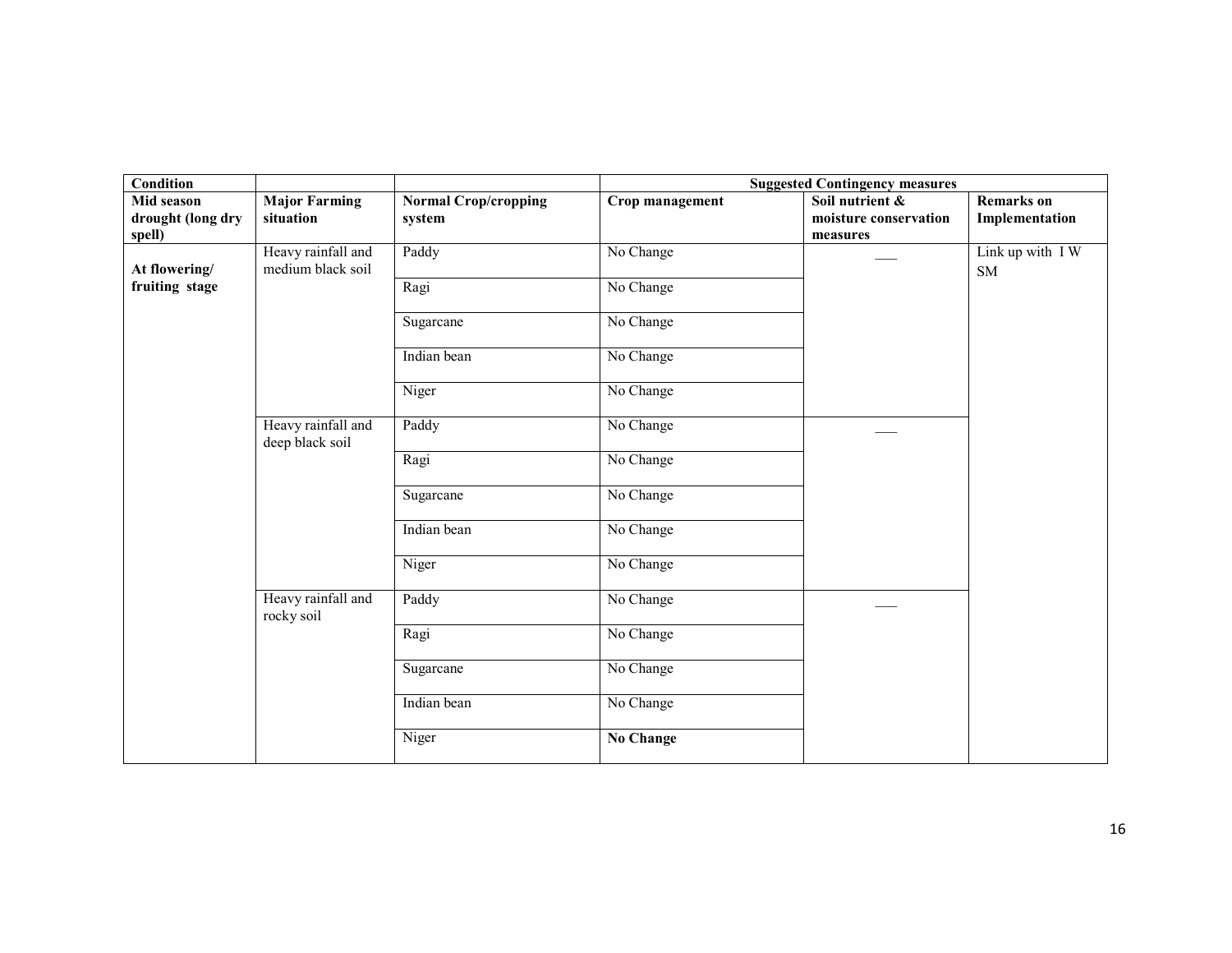| <b>Condition</b>                |                                         |                                       |                  | <b>Suggested Contingency measures</b>    |                                     |
|---------------------------------|-----------------------------------------|---------------------------------------|------------------|------------------------------------------|-------------------------------------|
| Mid season<br>drought (long dry | <b>Major Farming</b><br>situation       | <b>Normal Crop/cropping</b><br>system | Crop management  | Soil nutrient &<br>moisture conservation | <b>Remarks</b> on<br>Implementation |
| spell)                          |                                         |                                       |                  | measures                                 |                                     |
| At flowering/                   | Heavy rainfall and<br>medium black soil | Paddy                                 | No Change        |                                          | Link up with IW<br><b>SM</b>        |
| fruiting stage                  |                                         | Ragi                                  | No Change        |                                          |                                     |
|                                 |                                         | Sugarcane                             | No Change        |                                          |                                     |
|                                 |                                         | Indian bean                           | No Change        |                                          |                                     |
|                                 |                                         | Niger                                 | No Change        |                                          |                                     |
|                                 | Heavy rainfall and<br>deep black soil   | Paddy                                 | No Change        |                                          |                                     |
|                                 |                                         | Ragi                                  | No Change        |                                          |                                     |
|                                 |                                         | Sugarcane                             | No Change        |                                          |                                     |
|                                 |                                         | Indian bean                           | No Change        |                                          |                                     |
|                                 |                                         | Niger                                 | No Change        |                                          |                                     |
|                                 | Heavy rainfall and<br>rocky soil        | Paddy                                 | No Change        |                                          |                                     |
|                                 |                                         | Ragi                                  | No Change        |                                          |                                     |
|                                 |                                         | Sugarcane                             | No Change        |                                          |                                     |
|                                 |                                         | Indian bean                           | No Change        |                                          |                                     |
|                                 |                                         | Niger                                 | <b>No Change</b> |                                          |                                     |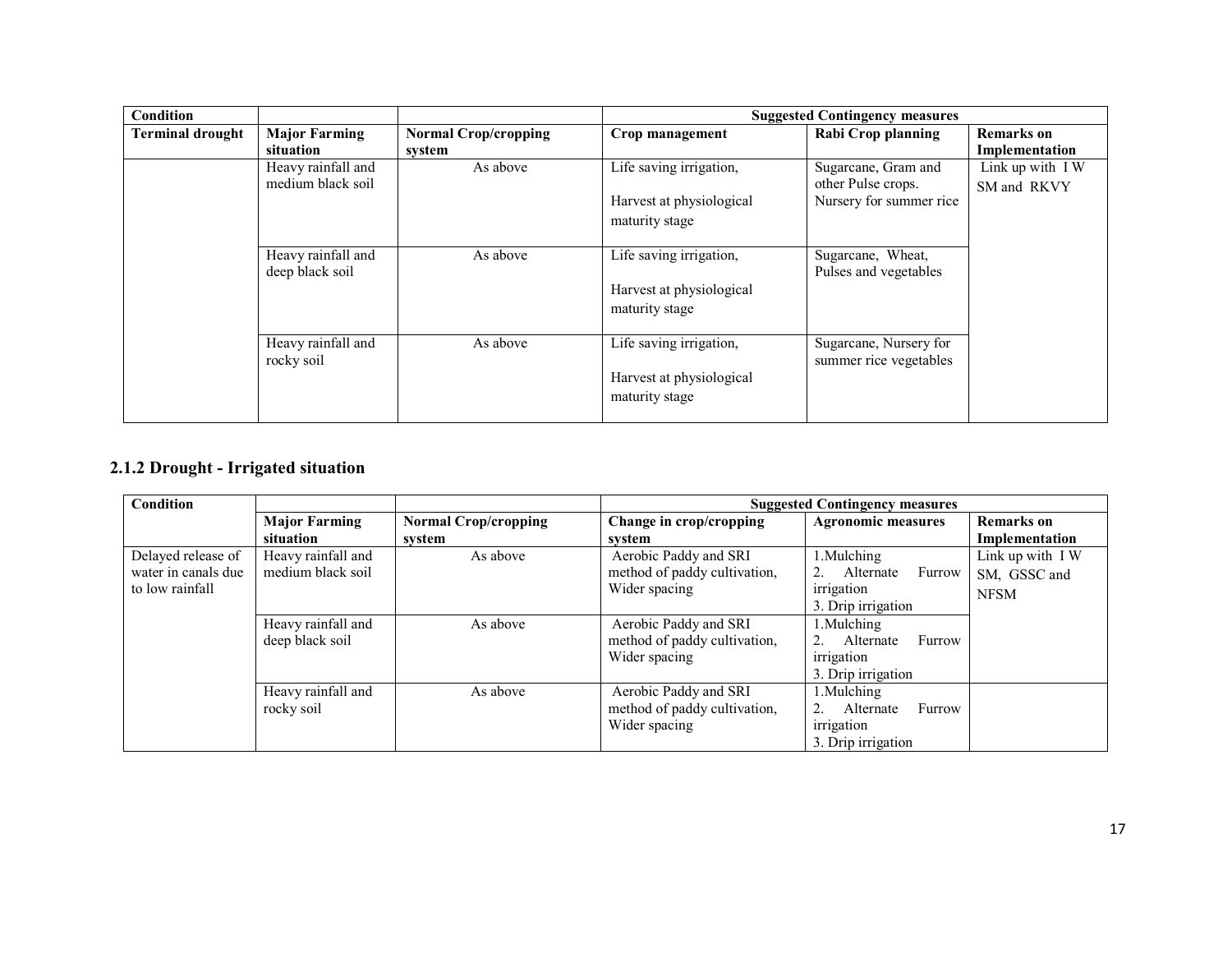| <b>Condition</b>        |                                         |                                       | <b>Suggested Contingency measures</b>                                 |                                                                      |                                     |
|-------------------------|-----------------------------------------|---------------------------------------|-----------------------------------------------------------------------|----------------------------------------------------------------------|-------------------------------------|
| <b>Terminal drought</b> | <b>Major Farming</b><br>situation       | <b>Normal Crop/cropping</b><br>system | Crop management                                                       | Rabi Crop planning                                                   | <b>Remarks</b> on<br>Implementation |
|                         | Heavy rainfall and<br>medium black soil | As above                              | Life saving irrigation,<br>Harvest at physiological<br>maturity stage | Sugarcane, Gram and<br>other Pulse crops.<br>Nursery for summer rice | Link up with IW<br>SM and RKVY      |
|                         | Heavy rainfall and<br>deep black soil   | As above                              | Life saving irrigation,<br>Harvest at physiological<br>maturity stage | Sugarcane, Wheat,<br>Pulses and vegetables                           |                                     |
|                         | Heavy rainfall and<br>rocky soil        | As above                              | Life saving irrigation,<br>Harvest at physiological<br>maturity stage | Sugarcane, Nursery for<br>summer rice vegetables                     |                                     |

#### 2.1.2 Drought - Irrigated situation

| Condition           |                      |                             | <b>Suggested Contingency measures</b> |                           |                   |
|---------------------|----------------------|-----------------------------|---------------------------------------|---------------------------|-------------------|
|                     | <b>Major Farming</b> | <b>Normal Crop/cropping</b> | Change in crop/cropping               | <b>Agronomic measures</b> | <b>Remarks</b> on |
|                     | situation            | svstem                      | svstem                                |                           | Implementation    |
| Delayed release of  | Heavy rainfall and   | As above                    | Aerobic Paddy and SRI                 | 1. Mulching               | Link up with IW   |
| water in canals due | medium black soil    |                             | method of paddy cultivation,          | Alternate<br>Furrow       | SM, GSSC and      |
| to low rainfall     |                      |                             | Wider spacing                         | irrigation                | <b>NFSM</b>       |
|                     |                      |                             |                                       | 3. Drip irrigation        |                   |
|                     | Heavy rainfall and   | As above                    | Aerobic Paddy and SRI                 | 1.Mulching                |                   |
|                     | deep black soil      |                             | method of paddy cultivation,          | Alternate<br>Furrow       |                   |
|                     |                      |                             | Wider spacing                         | irrigation                |                   |
|                     |                      |                             |                                       | 3. Drip irrigation        |                   |
|                     | Heavy rainfall and   | As above                    | Aerobic Paddy and SRI                 | Mulching                  |                   |
|                     | rocky soil           |                             | method of paddy cultivation,          | Alternate<br>Furrow       |                   |
|                     |                      |                             | Wider spacing                         | irrigation                |                   |
|                     |                      |                             |                                       | 3. Drip irrigation        |                   |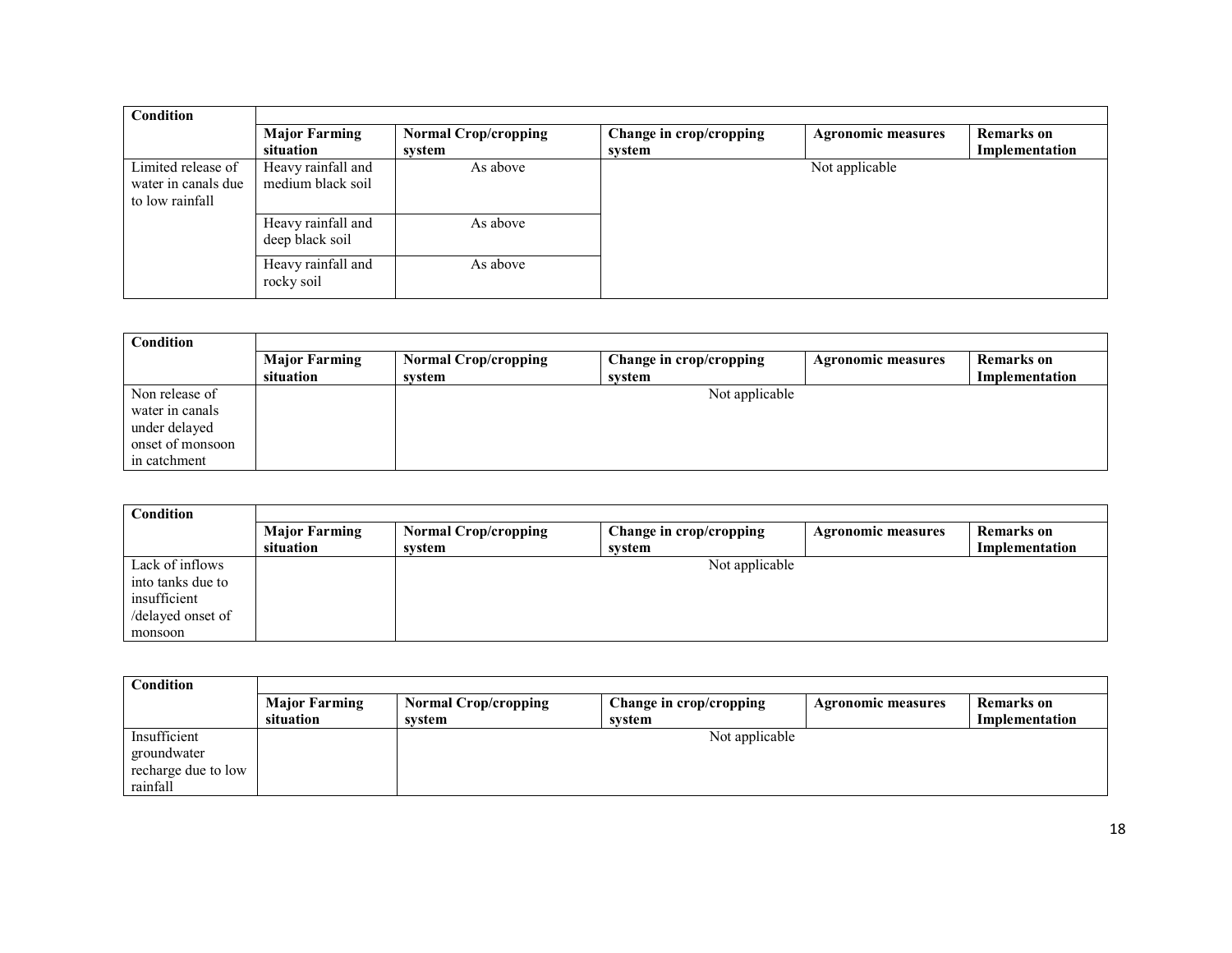| Condition                                                    |                                         |                                       |                                   |                           |                                     |
|--------------------------------------------------------------|-----------------------------------------|---------------------------------------|-----------------------------------|---------------------------|-------------------------------------|
|                                                              | <b>Major Farming</b><br>situation       | <b>Normal Crop/cropping</b><br>system | Change in crop/cropping<br>svstem | <b>Agronomic measures</b> | <b>Remarks</b> on<br>Implementation |
| Limited release of<br>water in canals due<br>to low rainfall | Heavy rainfall and<br>medium black soil | As above                              |                                   | Not applicable            |                                     |
|                                                              | Heavy rainfall and<br>deep black soil   | As above                              |                                   |                           |                                     |
|                                                              | Heavy rainfall and<br>rocky soil        | As above                              |                                   |                           |                                     |

| Condition        |                      |                             |                         |                           |                |
|------------------|----------------------|-----------------------------|-------------------------|---------------------------|----------------|
|                  | <b>Major Farming</b> | <b>Normal Crop/cropping</b> | Change in crop/cropping | <b>Agronomic measures</b> | Remarks on     |
|                  | situation            | system                      | system                  |                           | Implementation |
| Non release of   |                      |                             | Not applicable          |                           |                |
| water in canals  |                      |                             |                         |                           |                |
| under delayed    |                      |                             |                         |                           |                |
| onset of monsoon |                      |                             |                         |                           |                |
| in catchment     |                      |                             |                         |                           |                |

| <b>Condition</b>  |                      |                             |                         |                           |                |
|-------------------|----------------------|-----------------------------|-------------------------|---------------------------|----------------|
|                   | <b>Major Farming</b> | <b>Normal Crop/cropping</b> | Change in crop/cropping | <b>Agronomic measures</b> | Remarks on     |
|                   | situation            | system                      | system                  |                           | Implementation |
| Lack of inflows   |                      |                             | Not applicable          |                           |                |
| into tanks due to |                      |                             |                         |                           |                |
| insufficient      |                      |                             |                         |                           |                |
| /delayed onset of |                      |                             |                         |                           |                |
| monsoon           |                      |                             |                         |                           |                |

| <b>Condition</b>    |                      |                             |                         |                           |                |
|---------------------|----------------------|-----------------------------|-------------------------|---------------------------|----------------|
|                     | <b>Major Farming</b> | <b>Normal Crop/cropping</b> | Change in crop/cropping | <b>Agronomic measures</b> | Remarks on     |
|                     | situation            | svstem                      | svstem                  |                           | Implementation |
| Insufficient        |                      |                             | Not applicable          |                           |                |
| groundwater         |                      |                             |                         |                           |                |
| recharge due to low |                      |                             |                         |                           |                |
| rainfall            |                      |                             |                         |                           |                |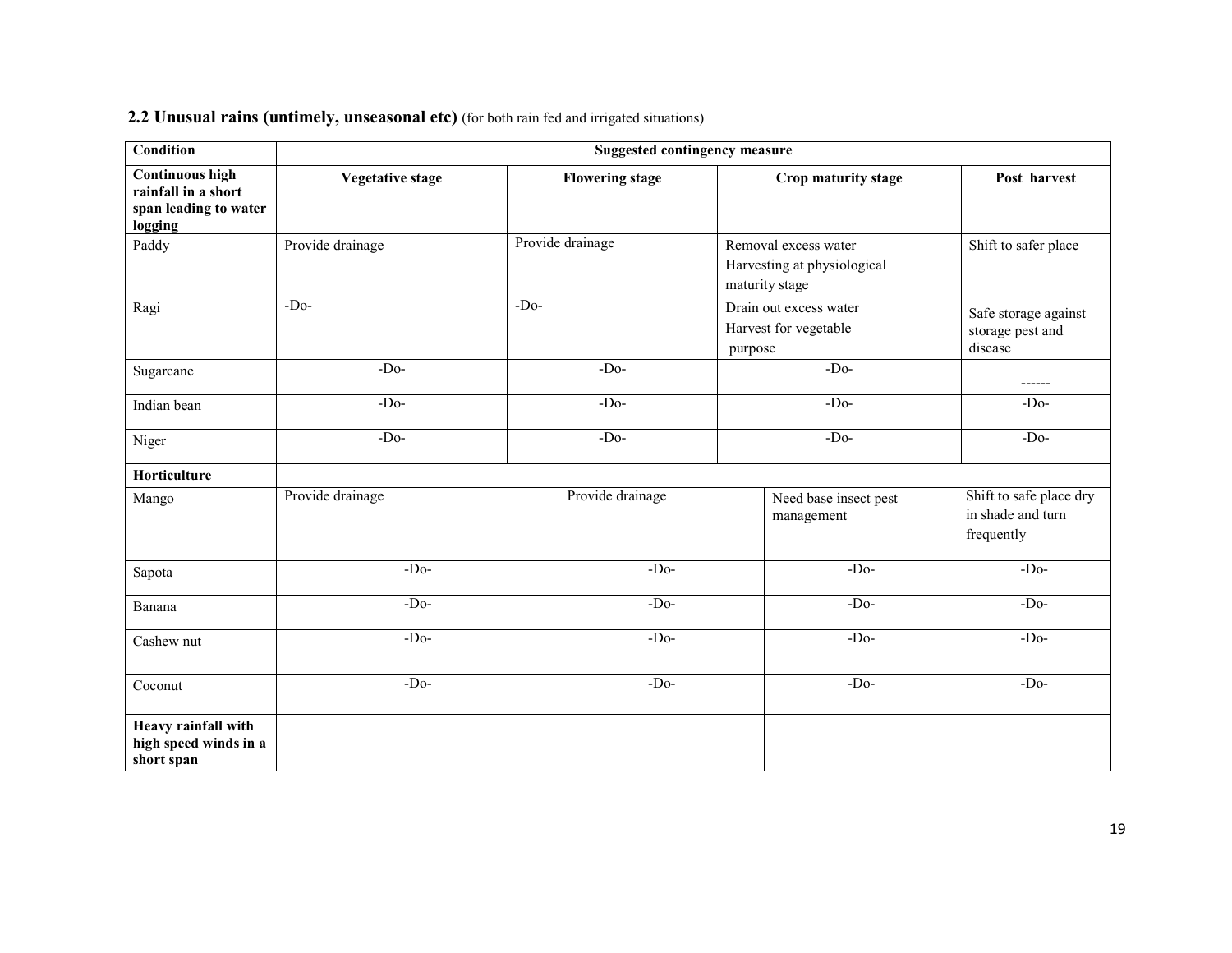| 2.2 Unusual rains (untimely, unseasonal etc) (for both rain fed and irrigated situations) |
|-------------------------------------------------------------------------------------------|
|-------------------------------------------------------------------------------------------|

| <b>Condition</b>                                                                  | <b>Suggested contingency measure</b> |                        |                                                                       |                                                            |  |  |
|-----------------------------------------------------------------------------------|--------------------------------------|------------------------|-----------------------------------------------------------------------|------------------------------------------------------------|--|--|
| <b>Continuous high</b><br>rainfall in a short<br>span leading to water<br>logging | <b>Vegetative stage</b>              | <b>Flowering stage</b> | Crop maturity stage                                                   | Post harvest                                               |  |  |
| Paddy                                                                             | Provide drainage                     | Provide drainage       | Removal excess water<br>Harvesting at physiological<br>maturity stage | Shift to safer place                                       |  |  |
| Ragi                                                                              | $-Do-$                               | $-Do-$                 | Drain out excess water<br>Harvest for vegetable<br>purpose            | Safe storage against<br>storage pest and<br>disease        |  |  |
| Sugarcane                                                                         | $-Do-$                               | $-Do-$                 | $-Do-$                                                                | ------                                                     |  |  |
| Indian bean                                                                       | $-Do-$                               | $-Do-$                 | $-Do-$                                                                | $-Do-$                                                     |  |  |
| Niger                                                                             | $-Do-$                               | $-Do-$                 | $-Do-$                                                                | $-Do-$                                                     |  |  |
| Horticulture                                                                      |                                      |                        |                                                                       |                                                            |  |  |
| Mango                                                                             | Provide drainage                     | Provide drainage       | Need base insect pest<br>management                                   | Shift to safe place dry<br>in shade and turn<br>frequently |  |  |
| Sapota                                                                            | $-D0$                                | $-Do-$                 | $-Do-$                                                                | $-Do-$                                                     |  |  |
| Banana                                                                            | $-D0$                                | $-Do-$                 | $-Do-$                                                                | $-Do-$                                                     |  |  |
| Cashew nut                                                                        | $-D0$                                | $-Do-$                 | $-Do-$                                                                | $-Do-$                                                     |  |  |
| Coconut                                                                           | $-Do-$                               | $-Do-$                 | $-Do-$                                                                | $-Do-$                                                     |  |  |
| Heavy rainfall with<br>high speed winds in a<br>short span                        |                                      |                        |                                                                       |                                                            |  |  |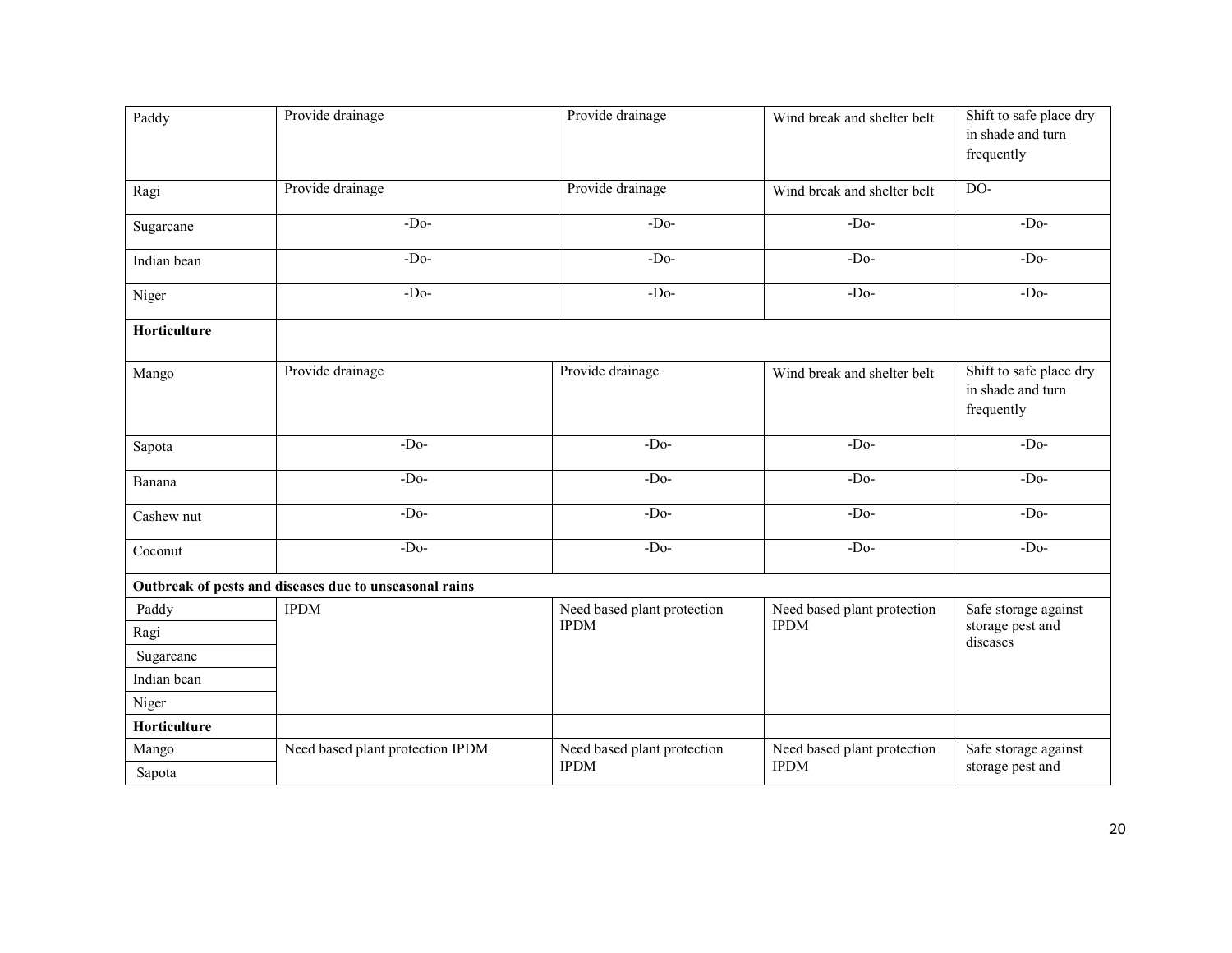| Paddy        | Provide drainage                                       | Provide drainage            | Wind break and shelter belt | Shift to safe place dry<br>in shade and turn<br>frequently |
|--------------|--------------------------------------------------------|-----------------------------|-----------------------------|------------------------------------------------------------|
| Ragi         | Provide drainage                                       | Provide drainage            | Wind break and shelter belt | $\overline{DO}$                                            |
| Sugarcane    | $-Do-$                                                 | $-Do-$                      | $-Do-$                      | $-Do-$                                                     |
| Indian bean  | $-Do-$                                                 | $-Do-$                      | $-D0$                       | $-D0$                                                      |
| Niger        | $-Do-$                                                 | $-Do-$                      | $-Do-$                      | $-Do-$                                                     |
| Horticulture |                                                        |                             |                             |                                                            |
| Mango        | Provide drainage                                       | Provide drainage            | Wind break and shelter belt | Shift to safe place dry<br>in shade and turn<br>frequently |
| Sapota       | $-Do-$                                                 | $-Do-$                      | $-Do-$                      | $-D0$                                                      |
| Banana       | $-Do-$                                                 | $-Do-$                      | $-Do-$                      | $-Do-$                                                     |
| Cashew nut   | $-D0$                                                  | $-Do-$                      | $-Do-$                      | $-Do-$                                                     |
| Coconut      | $-Do-$                                                 | $-Do-$                      | $-Do-$                      | $-D0$                                                      |
|              | Outbreak of pests and diseases due to unseasonal rains |                             |                             |                                                            |
| Paddy        | <b>IPDM</b>                                            | Need based plant protection | Need based plant protection | Safe storage against                                       |
| Ragi         |                                                        | <b>IPDM</b>                 | <b>IPDM</b>                 | storage pest and<br>diseases                               |
| Sugarcane    |                                                        |                             |                             |                                                            |
| Indian bean  |                                                        |                             |                             |                                                            |
| Niger        |                                                        |                             |                             |                                                            |
| Horticulture |                                                        |                             |                             |                                                            |
| Mango        | Need based plant protection IPDM                       | Need based plant protection | Need based plant protection | Safe storage against                                       |
| Sapota       |                                                        | <b>IPDM</b>                 | <b>IPDM</b>                 | storage pest and                                           |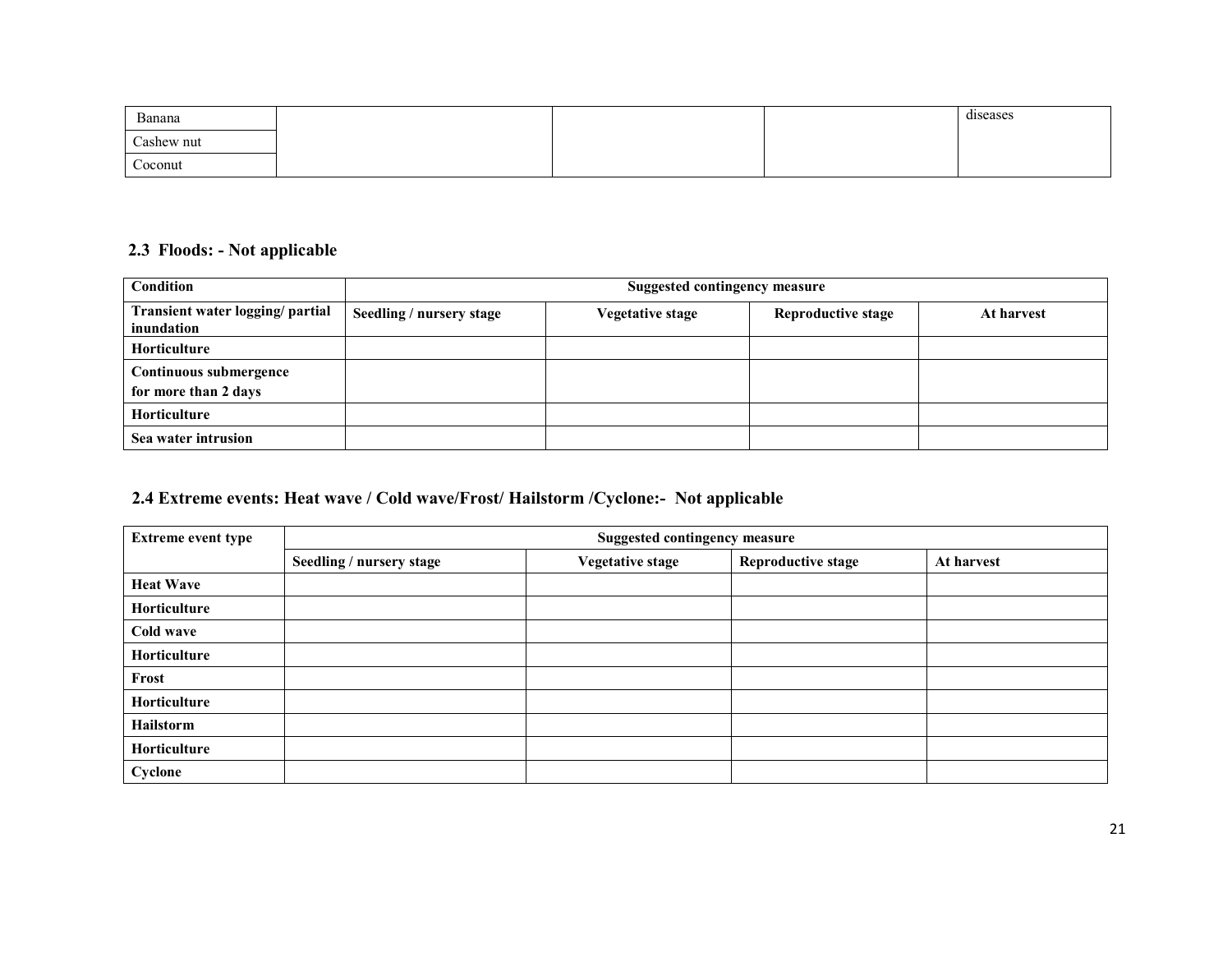| Banana            |  | diseases |
|-------------------|--|----------|
| Cashew nut        |  |          |
| $\sim$<br>Coconut |  |          |

#### 2.3 Floods: - Not applicable

| <b>Condition</b>                               | <b>Suggested contingency measure</b> |                         |                           |            |
|------------------------------------------------|--------------------------------------|-------------------------|---------------------------|------------|
| Transient water logging/ partial<br>inundation | Seedling / nursery stage             | <b>Vegetative stage</b> | <b>Reproductive stage</b> | At harvest |
| <b>Horticulture</b>                            |                                      |                         |                           |            |
| Continuous submergence<br>for more than 2 days |                                      |                         |                           |            |
| <b>Horticulture</b>                            |                                      |                         |                           |            |
| Sea water intrusion                            |                                      |                         |                           |            |

#### 2.4 Extreme events: Heat wave / Cold wave/Frost/ Hailstorm /Cyclone:- Not applicable

| <b>Extreme event type</b> | <b>Suggested contingency measure</b> |                         |                           |            |
|---------------------------|--------------------------------------|-------------------------|---------------------------|------------|
|                           | Seedling / nursery stage             | <b>Vegetative stage</b> | <b>Reproductive stage</b> | At harvest |
| <b>Heat Wave</b>          |                                      |                         |                           |            |
| Horticulture              |                                      |                         |                           |            |
| Cold wave                 |                                      |                         |                           |            |
| Horticulture              |                                      |                         |                           |            |
| Frost                     |                                      |                         |                           |            |
| Horticulture              |                                      |                         |                           |            |
| Hailstorm                 |                                      |                         |                           |            |
| Horticulture              |                                      |                         |                           |            |
| Cyclone                   |                                      |                         |                           |            |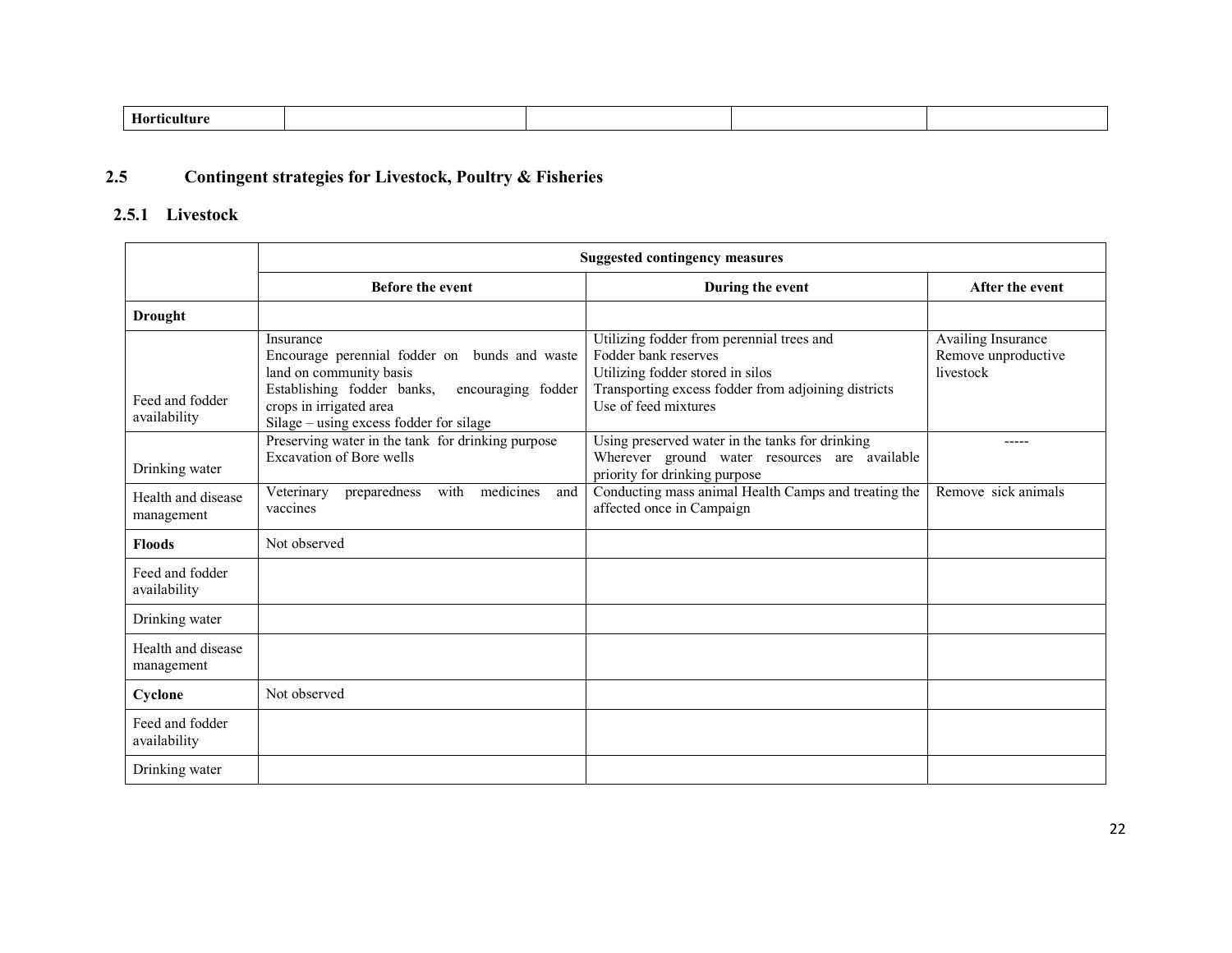| Ho<br> |
|--------|
|--------|

#### 2.5Contingent strategies for Livestock, Poultry & Fisheries

# 2.5.1 Livestock

|                                  | <b>Suggested contingency measures</b>                                                                                                                                                                           |                                                                                                                                                                                      |                                                        |  |
|----------------------------------|-----------------------------------------------------------------------------------------------------------------------------------------------------------------------------------------------------------------|--------------------------------------------------------------------------------------------------------------------------------------------------------------------------------------|--------------------------------------------------------|--|
|                                  | <b>Before the event</b>                                                                                                                                                                                         | During the event                                                                                                                                                                     | After the event                                        |  |
| <b>Drought</b>                   |                                                                                                                                                                                                                 |                                                                                                                                                                                      |                                                        |  |
| Feed and fodder<br>availability  | Insurance<br>Encourage perennial fodder on bunds and waste<br>land on community basis<br>Establishing fodder banks,<br>encouraging fodder<br>crops in irrigated area<br>Silage – using excess fodder for silage | Utilizing fodder from perennial trees and<br>Fodder bank reserves<br>Utilizing fodder stored in silos<br>Transporting excess fodder from adjoining districts<br>Use of feed mixtures | Availing Insurance<br>Remove unproductive<br>livestock |  |
| Drinking water                   | Preserving water in the tank for drinking purpose<br><b>Excavation of Bore wells</b>                                                                                                                            | Using preserved water in the tanks for drinking<br>Wherever ground water resources are available<br>priority for drinking purpose                                                    | -----                                                  |  |
| Health and disease<br>management | medicines<br>with<br>Veterinary<br>preparedness<br>and<br>vaccines                                                                                                                                              | Conducting mass animal Health Camps and treating the<br>affected once in Campaign                                                                                                    | Remove sick animals                                    |  |
| <b>Floods</b>                    | Not observed                                                                                                                                                                                                    |                                                                                                                                                                                      |                                                        |  |
| Feed and fodder<br>availability  |                                                                                                                                                                                                                 |                                                                                                                                                                                      |                                                        |  |
| Drinking water                   |                                                                                                                                                                                                                 |                                                                                                                                                                                      |                                                        |  |
| Health and disease<br>management |                                                                                                                                                                                                                 |                                                                                                                                                                                      |                                                        |  |
| Cyclone                          | Not observed                                                                                                                                                                                                    |                                                                                                                                                                                      |                                                        |  |
| Feed and fodder<br>availability  |                                                                                                                                                                                                                 |                                                                                                                                                                                      |                                                        |  |
| Drinking water                   |                                                                                                                                                                                                                 |                                                                                                                                                                                      |                                                        |  |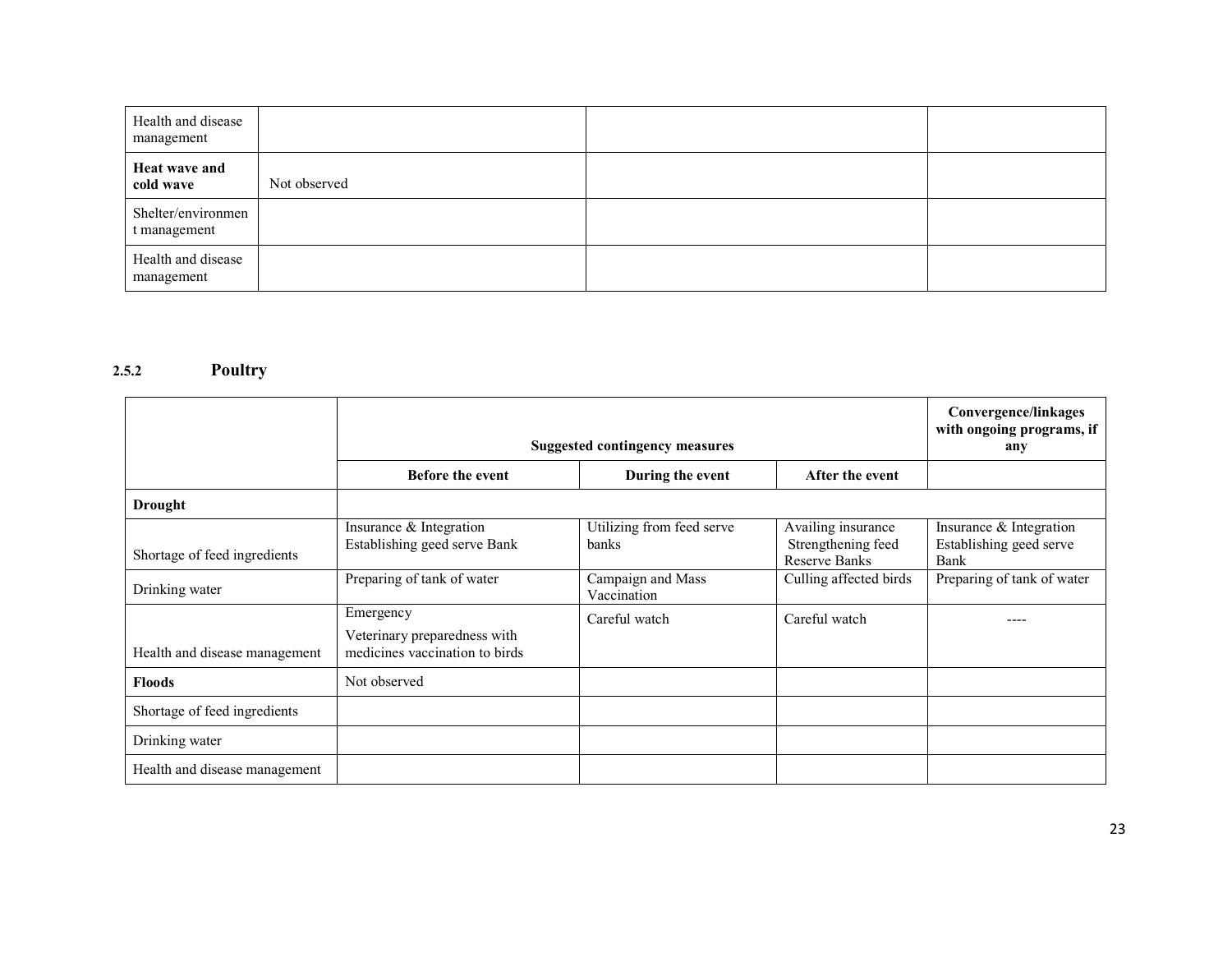| Health and disease<br>management   |              |  |
|------------------------------------|--------------|--|
| Heat wave and<br>cold wave         | Not observed |  |
| Shelter/environmen<br>t management |              |  |
| Health and disease<br>management   |              |  |

#### 2.5.2 Poultry

|                               | <b>Suggested contingency measures</b>                                       |                                    |                                                                  | Convergence/linkages<br>with ongoing programs, if<br>any   |
|-------------------------------|-----------------------------------------------------------------------------|------------------------------------|------------------------------------------------------------------|------------------------------------------------------------|
|                               | <b>Before the event</b>                                                     | During the event                   | After the event                                                  |                                                            |
| Drought                       |                                                                             |                                    |                                                                  |                                                            |
| Shortage of feed ingredients  | Insurance & Integration<br>Establishing geed serve Bank                     | Utilizing from feed serve<br>banks | Availing insurance<br>Strengthening feed<br><b>Reserve Banks</b> | Insurance & Integration<br>Establishing geed serve<br>Bank |
| Drinking water                | Preparing of tank of water                                                  | Campaign and Mass<br>Vaccination   | Culling affected birds                                           | Preparing of tank of water                                 |
| Health and disease management | Emergency<br>Veterinary preparedness with<br>medicines vaccination to birds | Careful watch                      | Careful watch                                                    |                                                            |
| <b>Floods</b>                 | Not observed                                                                |                                    |                                                                  |                                                            |
| Shortage of feed ingredients  |                                                                             |                                    |                                                                  |                                                            |
| Drinking water                |                                                                             |                                    |                                                                  |                                                            |
| Health and disease management |                                                                             |                                    |                                                                  |                                                            |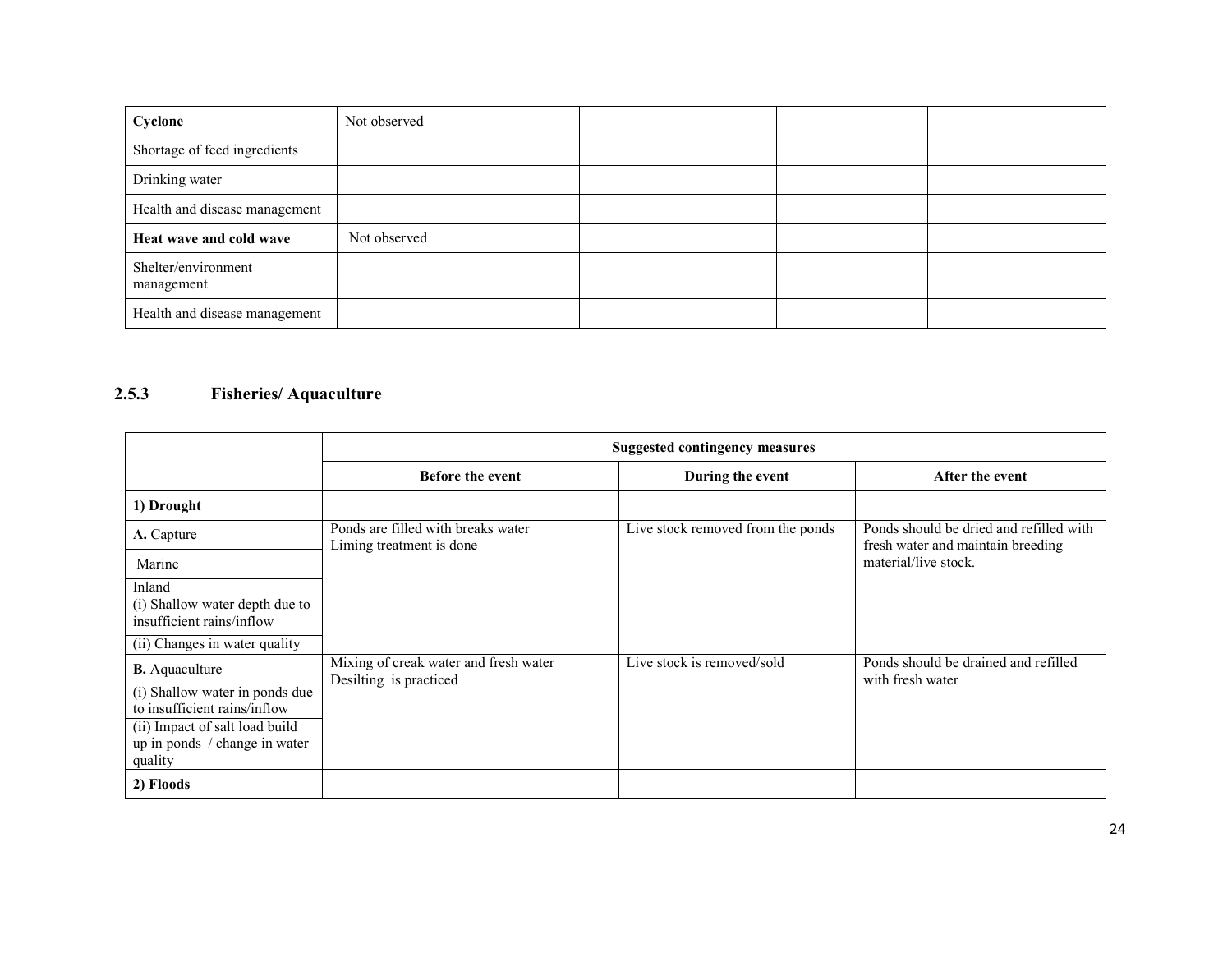| Cyclone                           | Not observed |  |  |
|-----------------------------------|--------------|--|--|
| Shortage of feed ingredients      |              |  |  |
| Drinking water                    |              |  |  |
| Health and disease management     |              |  |  |
| Heat wave and cold wave           | Not observed |  |  |
| Shelter/environment<br>management |              |  |  |
| Health and disease management     |              |  |  |

# 2.5.3 Fisheries/ Aquaculture

|                                                                | <b>Suggested contingency measures</b>                           |                                   |                                                                              |  |
|----------------------------------------------------------------|-----------------------------------------------------------------|-----------------------------------|------------------------------------------------------------------------------|--|
|                                                                | <b>Before the event</b>                                         | During the event                  | After the event                                                              |  |
| 1) Drought                                                     |                                                                 |                                   |                                                                              |  |
| A. Capture                                                     | Ponds are filled with breaks water<br>Liming treatment is done  | Live stock removed from the ponds | Ponds should be dried and refilled with<br>fresh water and maintain breeding |  |
| Marine                                                         |                                                                 |                                   | material/live stock.                                                         |  |
| Inland                                                         |                                                                 |                                   |                                                                              |  |
| (i) Shallow water depth due to<br>insufficient rains/inflow    |                                                                 |                                   |                                                                              |  |
| (ii) Changes in water quality                                  |                                                                 |                                   |                                                                              |  |
| <b>B.</b> Aquaculture                                          | Mixing of creak water and fresh water<br>Desilting is practiced | Live stock is removed/sold        | Ponds should be drained and refilled<br>with fresh water                     |  |
| (i) Shallow water in ponds due                                 |                                                                 |                                   |                                                                              |  |
| to insufficient rains/inflow<br>(ii) Impact of salt load build |                                                                 |                                   |                                                                              |  |
| up in ponds / change in water<br>quality                       |                                                                 |                                   |                                                                              |  |
| 2) Floods                                                      |                                                                 |                                   |                                                                              |  |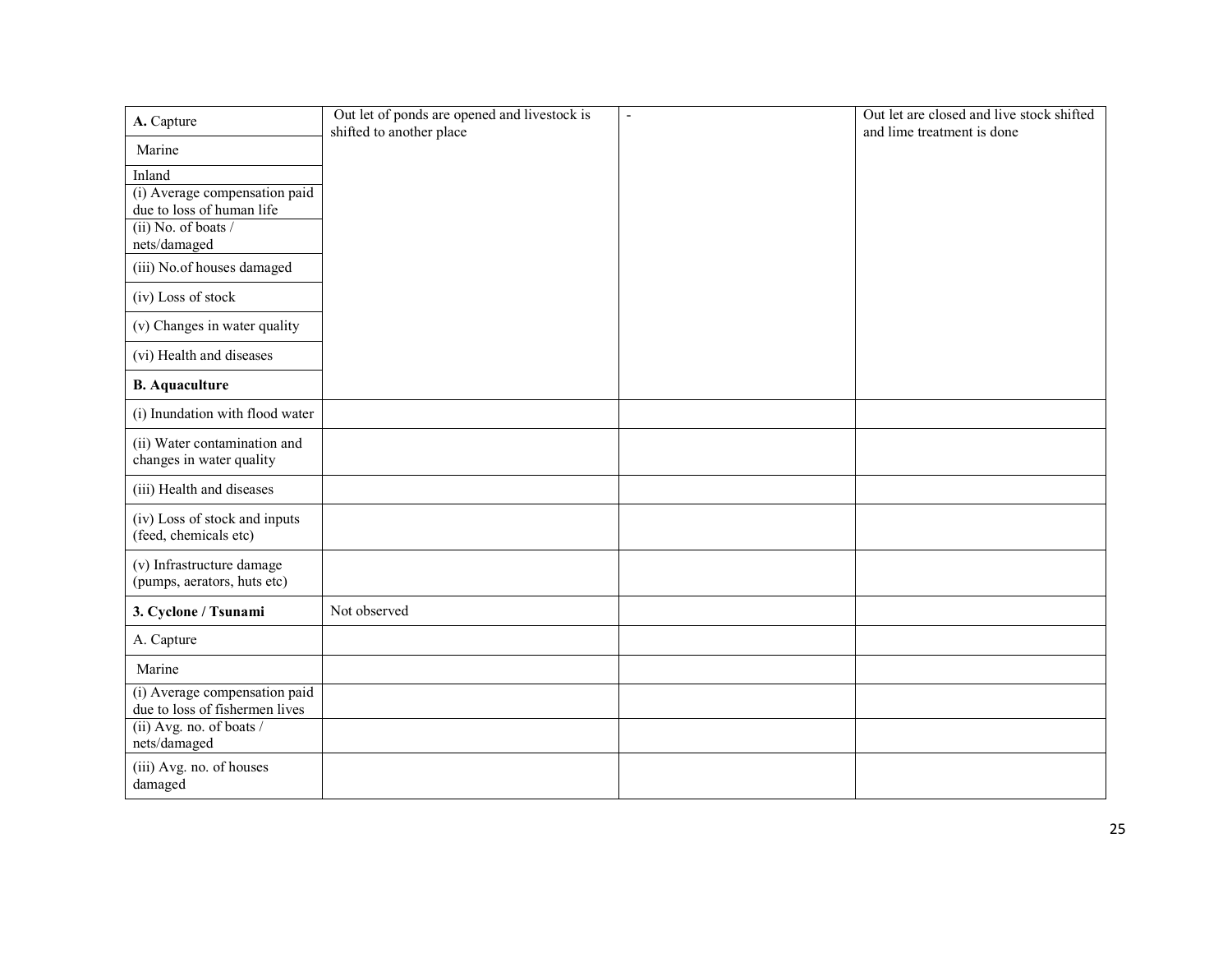| A. Capture                                                      | Out let of ponds are opened and livestock is<br>shifted to another place | $\sim$ | Out let are closed and live stock shifted<br>and lime treatment is done |
|-----------------------------------------------------------------|--------------------------------------------------------------------------|--------|-------------------------------------------------------------------------|
| Marine                                                          |                                                                          |        |                                                                         |
| Inland                                                          |                                                                          |        |                                                                         |
| (i) Average compensation paid                                   |                                                                          |        |                                                                         |
| due to loss of human life                                       |                                                                          |        |                                                                         |
| (ii) No. of boats /                                             |                                                                          |        |                                                                         |
| nets/damaged                                                    |                                                                          |        |                                                                         |
| (iii) No.of houses damaged                                      |                                                                          |        |                                                                         |
| (iv) Loss of stock                                              |                                                                          |        |                                                                         |
| (v) Changes in water quality                                    |                                                                          |        |                                                                         |
| (vi) Health and diseases                                        |                                                                          |        |                                                                         |
| <b>B.</b> Aquaculture                                           |                                                                          |        |                                                                         |
| (i) Inundation with flood water                                 |                                                                          |        |                                                                         |
| (ii) Water contamination and                                    |                                                                          |        |                                                                         |
| changes in water quality                                        |                                                                          |        |                                                                         |
| (iii) Health and diseases                                       |                                                                          |        |                                                                         |
| (iv) Loss of stock and inputs                                   |                                                                          |        |                                                                         |
| (feed, chemicals etc)                                           |                                                                          |        |                                                                         |
| (v) Infrastructure damage<br>(pumps, aerators, huts etc)        |                                                                          |        |                                                                         |
|                                                                 |                                                                          |        |                                                                         |
| 3. Cyclone / Tsunami                                            | Not observed                                                             |        |                                                                         |
| A. Capture                                                      |                                                                          |        |                                                                         |
| Marine                                                          |                                                                          |        |                                                                         |
| (i) Average compensation paid<br>due to loss of fishermen lives |                                                                          |        |                                                                         |
| (ii) Avg. no. of boats /                                        |                                                                          |        |                                                                         |
| nets/damaged                                                    |                                                                          |        |                                                                         |
| (iii) Avg. no. of houses                                        |                                                                          |        |                                                                         |
| damaged                                                         |                                                                          |        |                                                                         |
|                                                                 |                                                                          |        |                                                                         |